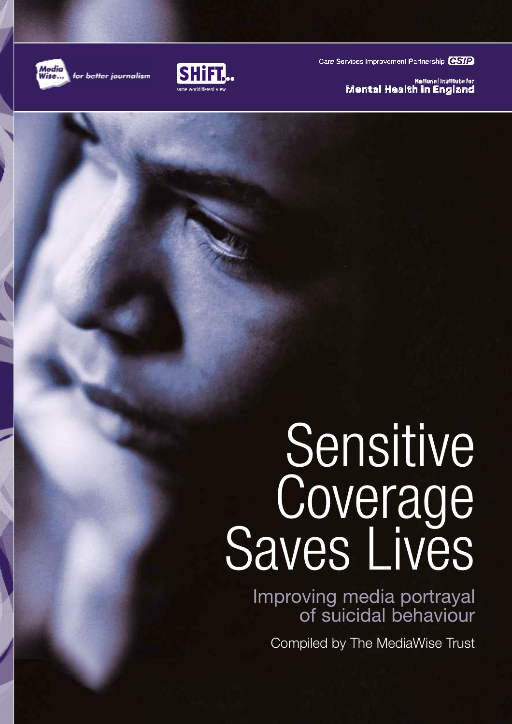

for better journalism



Care Services Improvement Partnership CSIP

Katlonai Instituta far **Mental Health in England** 

# Sensitive Coverage<br>Saves Lives

Improving media portrayal of suicidal behaviour

Compiled by The MediaWise Trust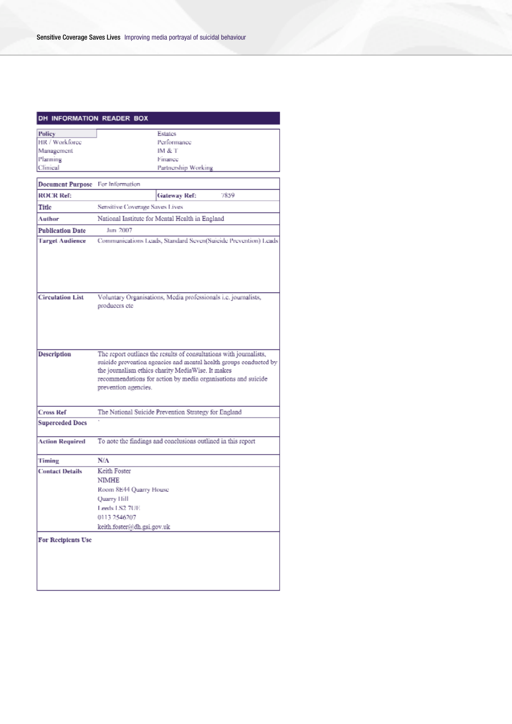#### DH INFORMATION READER BOX

| Policy                  |                                                                | Estates             |                                                                    |
|-------------------------|----------------------------------------------------------------|---------------------|--------------------------------------------------------------------|
| HR / Workforce          |                                                                | Performance         |                                                                    |
| Management              |                                                                | IM & T              |                                                                    |
| Planning                |                                                                | Finance             |                                                                    |
| Climical                |                                                                | Partnership Working |                                                                    |
|                         |                                                                |                     |                                                                    |
| <b>Document Purpose</b> | For Information                                                |                     |                                                                    |
| <b>ROCR Ref:</b>        |                                                                | Gateway Ref:        | 7859                                                               |
| Title                   | Sensitive Coverage Saves Lives                                 |                     |                                                                    |
| Author                  | National Institute for Mental Health in England                |                     |                                                                    |
| <b>Publication Date</b> | Jun 2007                                                       |                     |                                                                    |
| <b>Target Audience</b>  |                                                                |                     | Communications Leads, Standard Seven(Suicide Prevention) Leads     |
|                         |                                                                |                     |                                                                    |
| <b>Circulation List</b> | Voluntary Organisations, Media professionals i.e. journalists, |                     |                                                                    |
|                         | producers etc                                                  |                     |                                                                    |
|                         |                                                                |                     |                                                                    |
| Description             |                                                                |                     | The report outlines the results of consultations with journalists, |
|                         |                                                                |                     | suicide prevention agencies and mental health groups conducted by  |
|                         | the journalism ethics charity MediaWise. It makes              |                     |                                                                    |
|                         |                                                                |                     | recommendations for action by media organisations and suicide      |
|                         | prevention agencies.                                           |                     |                                                                    |
|                         |                                                                |                     |                                                                    |
| <b>Cross Ref</b>        | The National Suicide Prevention Strategy for England           |                     |                                                                    |
| <b>Superceded Docs</b>  |                                                                |                     |                                                                    |
|                         |                                                                |                     |                                                                    |
| Action Required         | To note the findings and conclusions outlined in this report   |                     |                                                                    |
|                         |                                                                |                     |                                                                    |
| Timing                  | N/A                                                            |                     |                                                                    |
| <b>Contact Details</b>  | Keith Foster                                                   |                     |                                                                    |
|                         | NIMHE                                                          |                     |                                                                    |
|                         | Room 8E44 Quarry House                                         |                     |                                                                    |
|                         | <b>Ouarry Hill</b>                                             |                     |                                                                    |
|                         | Leeds LS2 7UE                                                  |                     |                                                                    |
|                         | 0113 2546207                                                   |                     |                                                                    |
|                         | keith.foster@dh.gsi.gov.uk                                     |                     |                                                                    |
|                         |                                                                |                     |                                                                    |
| For Recipients Use      |                                                                |                     |                                                                    |
|                         |                                                                |                     |                                                                    |
|                         |                                                                |                     |                                                                    |
|                         |                                                                |                     |                                                                    |
|                         |                                                                |                     |                                                                    |
|                         |                                                                |                     |                                                                    |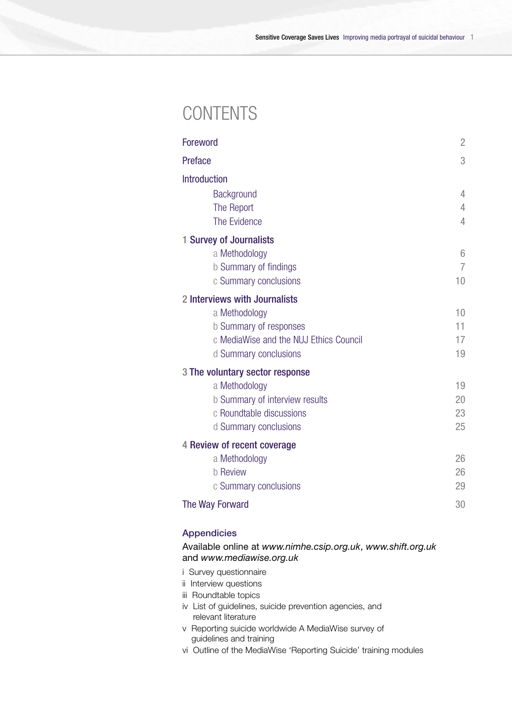### **CONTENTS**

|         | Foreword                               | $\overline{2}$ |
|---------|----------------------------------------|----------------|
| Preface |                                        | 3              |
|         | Introduction                           |                |
|         | Background                             | 4              |
|         | The Report                             | 4              |
|         | The Evidence                           | 4              |
|         | 1 Survey of Journalists                |                |
|         | a Methodology                          | 6              |
|         | b Summary of findings                  | 7              |
|         | c Summary conclusions                  | 10             |
|         | 2 Interviews with Journalists          |                |
|         | a Methodology                          | 10             |
|         | b Summary of responses                 | 11             |
|         | c MediaWise and the NUJ Ethics Council | 17             |
|         | d Summary conclusions                  | 19             |
|         | 3 The voluntary sector response        |                |
|         | a Methodology                          | 19             |
|         | b Summary of interview results         | 20             |
|         | c Roundtable discussions               | 23             |
|         | d Summary conclusions                  | 25             |
|         | 4 Review of recent coverage            |                |
|         | a Methodology                          | 26             |
|         | <b>b</b> Review                        | 26             |
|         | c Summary conclusions                  | 29             |
|         | The Way Forward                        | 30             |
|         |                                        |                |

#### Appendicies

Available online at *www.nimhe.csip.org.uk*, *www.shift.org.uk* and *www.mediawise.org.uk*

- i Survey questionnaire
- ii Interview questions
- iii Roundtable topics
- iv List of guidelines, suicide prevention agencies, and relevant literature
- v Reporting suicide worldwide A MediaWise survey of guidelines and training
- vi Outline of the MediaWise 'Reporting Suicide' training modules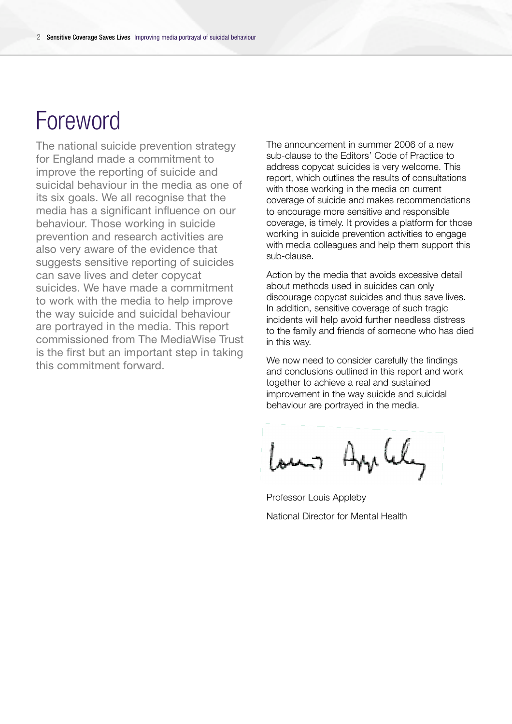# Foreword

The national suicide prevention strategy for England made a commitment to improve the reporting of suicide and suicidal behaviour in the media as one of its six goals. We all recognise that the media has a significant influence on our behaviour. Those working in suicide prevention and research activities are also very aware of the evidence that suggests sensitive reporting of suicides can save lives and deter copycat suicides. We have made a commitment to work with the media to help improve the way suicide and suicidal behaviour are portrayed in the media. This report commissioned from The MediaWise Trust is the first but an important step in taking this commitment forward.

The announcement in summer 2006 of a new sub-clause to the Editors' Code of Practice to address copycat suicides is very welcome. This report, which outlines the results of consultations with those working in the media on current coverage of suicide and makes recommendations to encourage more sensitive and responsible coverage, is timely. It provides a platform for those working in suicide prevention activities to engage with media colleagues and help them support this sub-clause.

Action by the media that avoids excessive detail about methods used in suicides can only discourage copycat suicides and thus save lives. In addition, sensitive coverage of such tragic incidents will help avoid further needless distress to the family and friends of someone who has died in this way.

We now need to consider carefully the findings and conclusions outlined in this report and work together to achieve a real and sustained improvement in the way suicide and suicidal behaviour are portrayed in the media.

Ang Cly اسمعا

Professor Louis Appleby National Director for Mental Health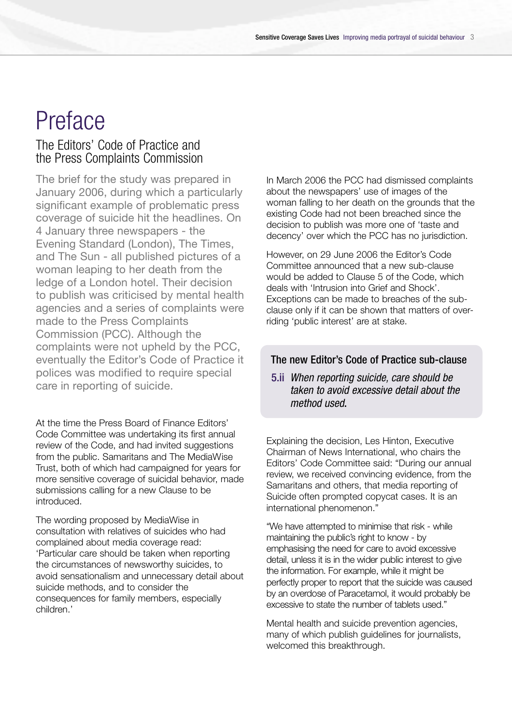# Preface

#### The Editors' Code of Practice and the Press Complaints Commission

The brief for the study was prepared in January 2006, during which a particularly significant example of problematic press coverage of suicide hit the headlines. On 4 January three newspapers - the Evening Standard (London), The Times, and The Sun - all published pictures of a woman leaping to her death from the ledge of a London hotel. Their decision to publish was criticised by mental health agencies and a series of complaints were made to the Press Complaints Commission (PCC). Although the complaints were not upheld by the PCC, eventually the Editor's Code of Practice it polices was modified to require special care in reporting of suicide.

At the time the Press Board of Finance Editors' Code Committee was undertaking its first annual review of the Code, and had invited suggestions from the public. Samaritans and The MediaWise Trust, both of which had campaigned for years for more sensitive coverage of suicidal behavior, made submissions calling for a new Clause to be introduced.

The wording proposed by MediaWise in consultation with relatives of suicides who had complained about media coverage read: 'Particular care should be taken when reporting the circumstances of newsworthy suicides, to avoid sensationalism and unnecessary detail about suicide methods, and to consider the consequences for family members, especially children.'

In March 2006 the PCC had dismissed complaints about the newspapers' use of images of the woman falling to her death on the grounds that the existing Code had not been breached since the decision to publish was more one of 'taste and decency' over which the PCC has no jurisdiction.

However, on 29 June 2006 the Editor's Code Committee announced that a new sub-clause would be added to Clause 5 of the Code, which deals with 'Intrusion into Grief and Shock'. Exceptions can be made to breaches of the subclause only if it can be shown that matters of overriding 'public interest' are at stake.

#### The new Editor's Code of Practice sub-clause

#### 5.ii *When reporting suicide, care should be taken to avoid excessive detail about the method used*.

Explaining the decision, Les Hinton, Executive Chairman of News International, who chairs the Editors' Code Committee said: "During our annual review, we received convincing evidence, from the Samaritans and others, that media reporting of Suicide often prompted copycat cases. It is an international phenomenon."

"We have attempted to minimise that risk - while maintaining the public's right to know - by emphasising the need for care to avoid excessive detail, unless it is in the wider public interest to give the information. For example, while it might be perfectly proper to report that the suicide was caused by an overdose of Paracetamol, it would probably be excessive to state the number of tablets used."

Mental health and suicide prevention agencies, many of which publish guidelines for journalists, welcomed this breakthrough.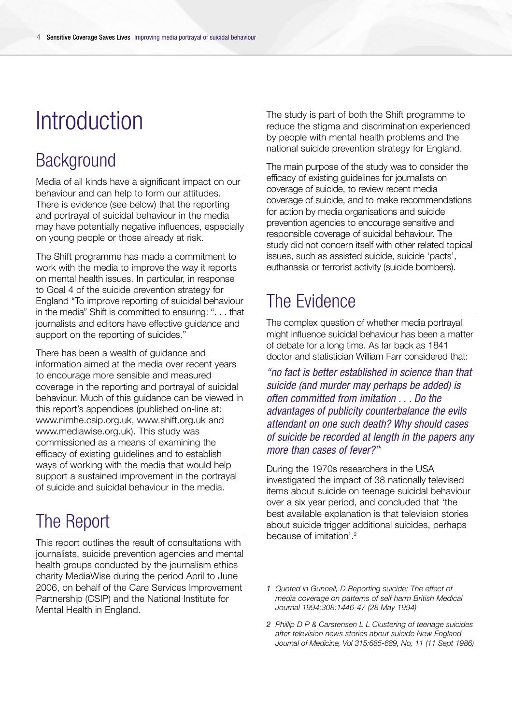# **Introduction**

### **Background**

Media of all kinds have a significant impact on our behaviour and can help to form our attitudes. There is evidence (see below) that the reporting and portrayal of suicidal behaviour in the media may have potentially negative influences, especially on young people or those already at risk.

The Shift programme has made a commitment to work with the media to improve the way it reports on mental health issues. In particular, in response to Goal 4 of the suicide prevention strategy for England "To improve reporting of suicidal behaviour in the media" Shift is committed to ensuring: ". . . that iournalists and editors have effective guidance and support on the reporting of suicides."

There has been a wealth of guidance and information aimed at the media over recent years to encourage more sensible and measured coverage in the reporting and portrayal of suicidal behaviour. Much of this guidance can be viewed in this report's appendices (published on-line at: www.nimhe.csip.org.uk, www.shift.org.uk and www.mediawise.org.uk). This study was commissioned as a means of examining the efficacy of existing guidelines and to establish ways of working with the media that would help support a sustained improvement in the portrayal of suicide and suicidal behaviour in the media.

### The Report

This report outlines the result of consultations with journalists, suicide prevention agencies and mental health groups conducted by the journalism ethics charity MediaWise during the period April to June 2006, on behalf of the Care Services Improvement Partnership (CSIP) and the National Institute for Mental Health in England.

The study is part of both the Shift programme to reduce the stigma and discrimination experienced by people with mental health problems and the national suicide prevention strategy for England.

The main purpose of the study was to consider the efficacy of existing guidelines for journalists on coverage of suicide, to review recent media coverage of suicide, and to make recommendations for action by media organisations and suicide p revention agencies to encourage sensitive and responsible coverage of suicidal behaviour. The study did not concern itself with other related topical issues, such as assisted suicide, suicide 'pacts', euthanasia or terrorist activity (suicide bombers).

### The Evidence

The complex question of whether media portrayal might influence suicidal behaviour has been a matter of debate for a long time. As far back as 1841 doctor and statistician William Farr considered that:

*"no fact is better established in science than that suicide (and murder may perhaps be added) is often committed from imitation . . . Do the advantages of publicity counterbalance the evils attendant on one such death? Why should cases of suicide be recorded at length in the papers any more than cases of fever?"*<sup>1</sup>

During the 1970s researchers in the USA investigated the impact of 38 nationally televised items about suicide on teenage suicidal behaviour over a six year period, and concluded that 'the best available explanation is that television stories about suicide trigger additional suicides, perhaps because of imitation'.2

- *1 Quoted in Gunnell, D Reporting suicide: The effect of media coverage on patterns of self harm British Medical Journal 1994;308:1446-47 (28 May 1994)*
- *2 Phillip D P & Carstensen L L Clustering of teenage suicides after television news stories about suicide New England Journal of Medicine, Vol 315:685-689, No, 11 (11 Sept 1986)*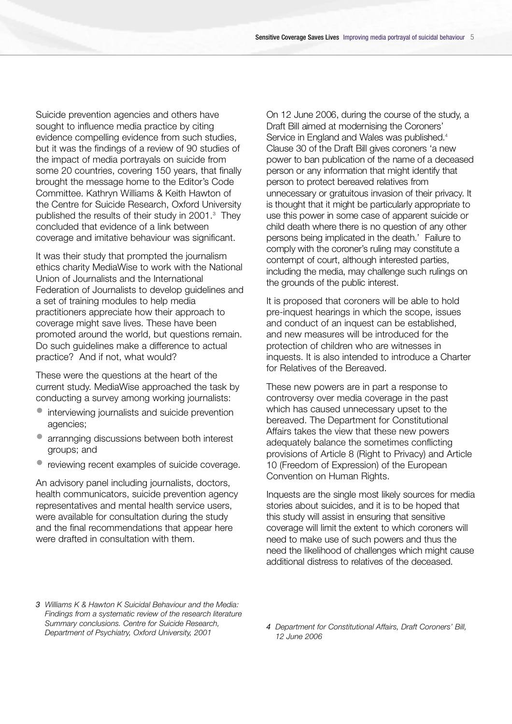Suicide prevention agencies and others have sought to influence media practice by citing evidence compelling evidence from such studies, but it was the findings of a review of 90 studies of the impact of media portrayals on suicide from some 20 countries, covering 150 years, that finally brought the message home to the Editor's Code Committee. Kathryn Williams & Keith Hawton of the Centre for Suicide Research, Oxford University published the results of their study in 2001.3 They concluded that evidence of a link between coverage and imitative behaviour was significant.

It was their study that prompted the journalism ethics charity MediaWise to work with the National Union of Journalists and the International Federation of Journalists to develop guidelines and a set of training modules to help media practitioners appreciate how their approach to coverage might save lives. These have been promoted around the world, but questions remain. Do such guidelines make a difference to actual practice? And if not, what would?

These were the questions at the heart of the current study. MediaWise approached the task by conducting a survey among working journalists:

- interviewing journalists and suicide prevention agencies;
- arrannging discussions between both interest groups; and
- reviewing recent examples of suicide coverage.

An advisory panel including journalists, doctors, health communicators, suicide prevention agency representatives and mental health service users, were available for consultation during the study and the final recommendations that appear here were drafted in consultation with them.

On 12 June 2006, during the course of the study, a Draft Bill aimed at modernising the Coroners' Service in England and Wales was published. 4 Clause 30 of the Draft Bill gives coroners 'a new power to ban publication of the name of a deceased person or any information that might identify that person to protect bereaved relatives from unnecessary or gratuitous invasion of their privacy. It is thought that it might be particularly appropriate to use this power in some case of apparent suicide or child death where there is no question of any other persons being implicated in the death.' Failure to comply with the coroner's ruling may constitute a contempt of court, although interested parties, including the media, may challenge such rulings on the grounds of the public interest.

It is proposed that coroners will be able to hold pre-inquest hearings in which the scope, issues and conduct of an inquest can be established, and new measures will be introduced for the protection of children who are witnesses in inquests. It is also intended to introduce a Charter for Relatives of the Bereaved.

These new powers are in part a response to controversy over media coverage in the past which has caused unnecessary upset to the bereaved. The Department for Constitutional Affairs takes the view that these new powers adequately balance the sometimes conflicting provisions of Article 8 (Right to Privacy) and Article 10 (Freedom of Expression) of the European Convention on Human Rights.

Inquests are the single most likely sources for media stories about suicides, and it is to be hoped that this study will assist in ensuring that sensitive coverage will limit the extent to which coroners will need to make use of such powers and thus the need the likelihood of challenges which might cause additional distress to relatives of the deceased.

*3 Williams K & Hawton K Suicidal Behaviour and the Media: Findings from a systematic review of the research literature Summary conclusions. Centre for Suicide Research, Department of Psychiatry, Oxford University, 2001*

*<sup>4</sup> Department for Constitutional Affairs, Draft Coroners' Bill, 12 June 2006*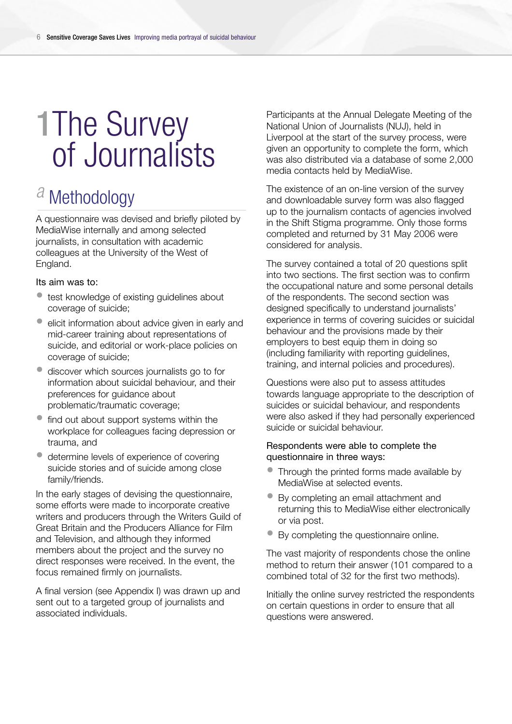# 1The Survey of Journalists

# *a* Methodology

A questionnaire was devised and briefly piloted by MediaWise internally and among selected journalists, in consultation with academic colleagues at the University of the West of England.

#### Its aim was to:

- test knowledge of existing guidelines about coverage of suicide;
- elicit information about advice given in early and mid-career training about representations of suicide, and editorial or work-place policies on coverage of suicide;
- discover which sources journalists go to for information about suicidal behaviour, and their preferences for guidance about problematic/traumatic coverage;
- find out about support systems within the workplace for colleagues facing depression or trauma, and
- determine levels of experience of covering suicide stories and of suicide among close family/friends.

In the early stages of devising the questionnaire, some efforts were made to incorporate creative writers and producers through the Writers Guild of Great Britain and the Producers Alliance for Film and Television, and although they informed members about the project and the survey no direct responses were received. In the event, the focus remained firmly on journalists.

A final version (see Appendix I) was drawn up and sent out to a targeted group of journalists and associated individuals.

Participants at the Annual Delegate Meeting of the National Union of Journalists (NUJ), held in Liverpool at the start of the survey process, were given an opportunity to complete the form, which was also distributed via a database of some 2,000 media contacts held by MediaWise.

The existence of an on-line version of the survey and downloadable survey form was also flagged up to the journalism contacts of agencies involved in the Shift Stigma programme. Only those forms completed and returned by 31 May 2006 were considered for analysis.

The survey contained a total of 20 questions split into two sections. The first section was to confirm the occupational nature and some personal details of the respondents. The second section was designed specifically to understand journalists' experience in terms of covering suicides or suicidal behaviour and the provisions made by their employers to best equip them in doing so (including familiarity with reporting guidelines, training, and internal policies and procedures).

Questions were also put to assess attitudes towards language appropriate to the description of suicides or suicidal behaviour, and respondents were also asked if they had personally experienced suicide or suicidal behaviour.

#### Respondents were able to complete the questionnaire in three ways:

- Through the printed forms made available by MediaWise at selected events.
- By completing an email attachment and returning this to MediaWise either electronically or via post.
- By completing the questionnaire online.

The vast majority of respondents chose the online method to return their answer (101 compared to a combined total of 32 for the first two methods).

Initially the online survey restricted the respondents on certain questions in order to ensure that all questions were answered.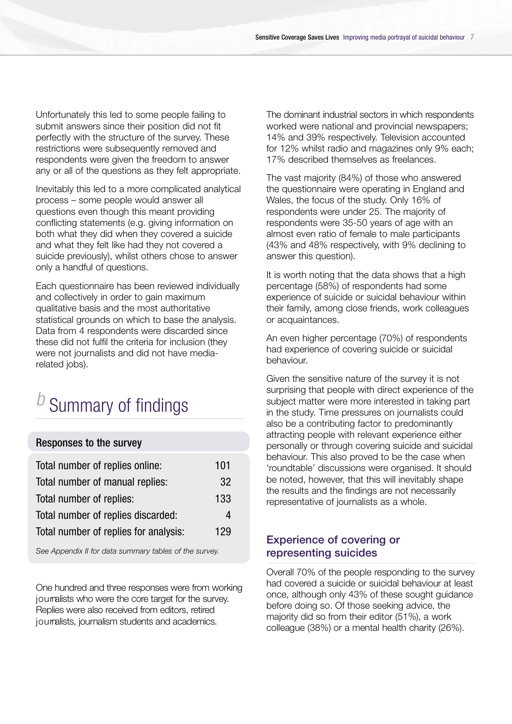Unfortunately this led to some people failing to submit answers since their position did not fit perfectly with the structure of the survey. These restrictions were subsequently removed and respondents were given the freedom to answer any or all of the questions as they felt appropriate.

Inevitably this led to a more complicated analytical process – some people would answer all questions even though this meant providing conflicting statements (e.g. giving information on both what they did when they covered a suicide and what they felt like had they not covered a suicide previously), whilst others chose to answer only a handful of questions.

Each questionnaire has been reviewed individually and collectively in order to gain maximum qualitative basis and the most authoritative statistical grounds on which to base the analysis. Data from 4 respondents were discarded since these did not fulfil the criteria for inclusion (they were not journalists and did not have mediarelated jobs).

# **Summary of findings**

#### Responses to the survey

| Total number of replies online:       | 101 |
|---------------------------------------|-----|
| Total number of manual replies:       | 32  |
| Total number of replies:              | 133 |
| Total number of replies discarded:    | 4   |
| Total number of replies for analysis: | 129 |

*See Appendix II for data summary tables of the survey.*

One hundred and three responses were from working journalists who were the core target for the survey. Replies were also received from editors, retired journalists, journalism students and academics.

The dominant industrial sectors in which respondents worked were national and provincial newspapers; 14% and 39% respectively. Television accounted for 12% whilst radio and magazines only 9% each; 17% described themselves as freelances.

The vast majority (84%) of those who answered the questionnaire were operating in England and Wales, the focus of the study. Only 16% of respondents were under 25. The majority of respondents were 35-50 years of age with an almost even ratio of female to male participants (43% and 48% respectively, with 9% declining to answer this question).

It is worth noting that the data shows that a high percentage (58%) of respondents had some experience of suicide or suicidal behaviour within their family, among close friends, work colleagues or acquaintances.

An even higher percentage (70%) of respondents had experience of covering suicide or suicidal behaviour.

Given the sensitive nature of the survey it is not surprising that people with direct experience of the subject matter were more interested in taking part in the study. Time pressures on journalists could also be a contributing factor to predominantly attracting people with relevant experience either personally or through covering suicide and suicidal behaviour. This also proved to be the case when 'roundtable' discussions were organised. It should be noted, however, that this will inevitably shape the results and the findings are not necessarily representative of journalists as a whole.

#### Experience of covering or representing suicides

Overall 70% of the people responding to the survey had covered a suicide or suicidal behaviour at least once, although only 43% of these sought guidance before doing so. Of those seeking advice, the majority did so from their editor (51%), a work colleague (38%) or a mental health charity (26%).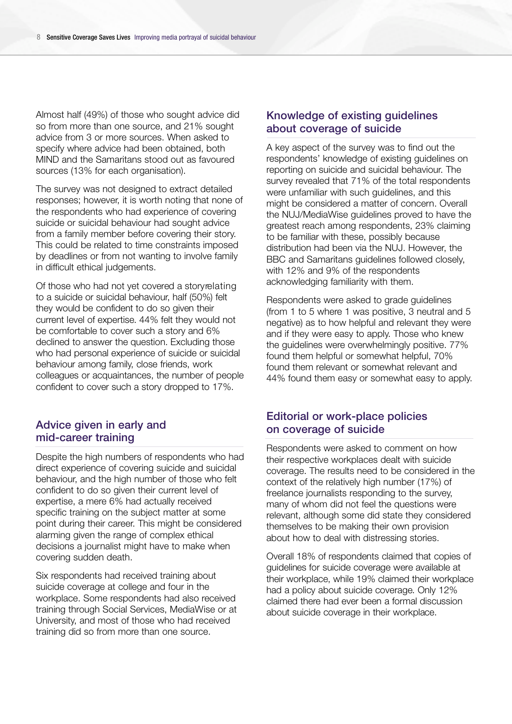Almost half (49%) of those who sought advice did so from more than one source, and 21% sought advice from 3 or more sources. When asked to specify where advice had been obtained, both MIND and the Samaritans stood out as favoured sources (13% for each organisation).

The survey was not designed to extract detailed responses; however, it is worth noting that none of the respondents who had experience of covering suicide or suicidal behaviour had sought advice from a family member before covering their story. This could be related to time constraints imposed by deadlines or from not wanting to involve family in difficult ethical judgements.

Of those who had not yet covered a story relating to a suicide or suicidal behaviour, half (50%) felt they would be confident to do so given their current level of expertise. 44% felt they would not be comfortable to cover such a story and 6% declined to answer the question. Excluding those who had personal experience of suicide or suicidal behaviour among family, close friends, work colleagues or acquaintances, the number of people confident to cover such a story dropped to 17%.

#### Advice given in early and mid-career training

Despite the high numbers of respondents who had direct experience of covering suicide and suicidal behaviour, and the high number of those who felt confident to do so given their current level of expertise, a mere 6% had actually received specific training on the subject matter at some point during their career. This might be considered alarming given the range of complex ethical decisions a journalist might have to make when covering sudden death.

Six respondents had received training about suicide coverage at college and four in the workplace. Some respondents had also received training through Social Services, MediaWise or at University, and most of those who had received training did so from more than one source.

#### Knowledge of existing guidelines about coverage of suicide

A key aspect of the survey was to find out the respondents' knowledge of existing guidelines on reporting on suicide and suicidal behaviour. The survey revealed that 71% of the total respondents were unfamiliar with such guidelines, and this might be considered a matter of concern. Overall the NUJ/MediaWise guidelines proved to have the greatest reach among respondents, 23% claiming to be familiar with these, possibly because distribution had been via the NUJ. However, the BBC and Samaritans guidelines followed closely, with 12% and 9% of the respondents acknowledging familiarity with them.

Respondents were asked to grade guidelines (from 1 to 5 where 1 was positive, 3 neutral and 5 negative) as to how helpful and relevant they were and if they were easy to apply. Those who knew the guidelines were overwhelmingly positive. 77% found them helpful or somewhat helpful, 70% found them relevant or somewhat relevant and 44% found them easy or somewhat easy to apply.

#### Editorial or work-place policies on coverage of suicide

Respondents were asked to comment on how their respective workplaces dealt with suicide coverage. The results need to be considered in the context of the relatively high number (17%) of freelance journalists responding to the survey, many of whom did not feel the questions were relevant, although some did state they considered themselves to be making their own provision about how to deal with distressing stories.

Overall 18% of respondents claimed that copies of guidelines for suicide coverage were available at their workplace, while 19% claimed their workplace had a policy about suicide coverage. Only 12% claimed there had ever been a formal discussion about suicide coverage in their workplace.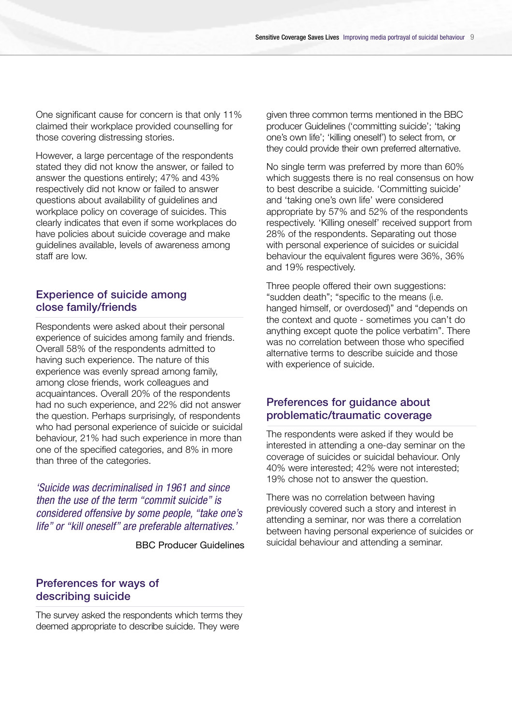One significant cause for concern is that only 11% claimed their workplace provided counselling for those covering distressing stories.

However, a large percentage of the respondents stated they did not know the answer, or failed to answer the questions entirely; 47% and 43% respectively did not know or failed to answer questions about availability of guidelines and workplace policy on coverage of suicides. This clearly indicates that even if some workplaces do have policies about suicide coverage and make guidelines available, levels of awareness among staff are low.

#### Experience of suicide among close family/friends

Respondents were asked about their personal experience of suicides among family and friends. Overall 58% of the respondents admitted to having such experience. The nature of this experience was evenly spread among family, among close friends, work colleagues and acquaintances. Overall 20% of the respondents had no such experience, and 22% did not answer the question. Perhaps surprisingly, of respondents who had personal experience of suicide or suicidal behaviour, 21% had such experience in more than one of the specified categories, and 8% in more than three of the categories.

*'Suicide was decriminalised in 1961 and since then the use of the term "commit suicide" is considered offensive by some people, "take one's life" or "kill oneself" are preferable alternatives.'*

BBC Producer Guidelines

#### Preferences for ways of describing suicide

The survey asked the respondents which terms they deemed appropriate to describe suicide. They were

given three common terms mentioned in the BBC producer Guidelines ('committing suicide'; 'taking one's own life': 'killing oneself') to select from, or they could provide their own preferred alternative.

No single term was preferred by more than 60% which suggests there is no real consensus on how to best describe a suicide. 'Committing suicide' and 'taking one's own life' were considered appropriate by 57% and 52% of the respondents respectively. 'Killing oneself' received support from 28% of the respondents. Separating out those with personal experience of suicides or suicidal behaviour the equivalent figures were 36%, 36% and 19% respectively.

Three people offered their own suggestions: "sudden death"; "specific to the means (i.e. hanged himself, or overdosed)" and "depends on the context and quote - sometimes you can't do anything except quote the police verbatim". There was no correlation between those who specified alternative terms to describe suicide and those with experience of suicide.

#### Preferences for guidance about problematic/traumatic coverage

The respondents were asked if they would be interested in attending a one-day seminar on the coverage of suicides or suicidal behaviour. Only 40% were interested; 42% were not interested; 19% chose not to answer the question.

There was no correlation between having previously covered such a story and interest in attending a seminar, nor was there a correlation between having personal experience of suicides or suicidal behaviour and attending a seminar.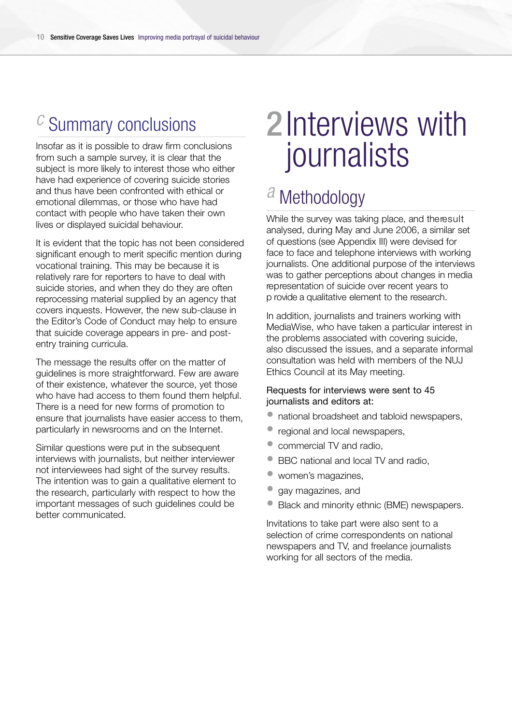# **Summary conclusions**

Insofar as it is possible to draw firm conclusions from such a sample survey, it is clear that the subject is more likely to interest those who either have had experience of covering suicide stories and thus have been confronted with ethical or emotional dilemmas, or those who have had contact with people who have taken their own lives or displayed suicidal behaviour.

It is evident that the topic has not been considered significant enough to merit specific mention during vocational training. This may be because it is relatively rare for reporters to have to deal with suicide stories, and when they do they are often reprocessing material supplied by an agency that covers inquests. However, the new sub-clause in the Editor's Code of Conduct may help to ensure that suicide coverage appears in pre- and postentry training curricula.

The message the results offer on the matter of guidelines is more straightforward. Few are aware of their existence, whatever the source, yet those who have had access to them found them helpful. There is a need for new forms of promotion to ensure that journalists have easier access to them, particularly in newsrooms and on the Internet.

Similar questions were put in the subsequent interviews with journalists, but neither interviewer not interviewees had sight of the survey results. The intention was to gain a qualitative element to the research, particularly with respect to how the important messages of such guidelines could be better communicated.

# 2Interviews with journalists

# *a* Methodology

While the survey was taking place, and the result analysed, during May and June 2006, a similar set of questions (see Appendix III) were devised for face to face and telephone interviews with working journalists. One additional purpose of the interviews was to gather perceptions about changes in media representation of suicide over recent years to p rovide a qualitative element to the research.

In addition, journalists and trainers working with MediaWise, who have taken a particular interest in the problems associated with covering suicide, also discussed the issues, and a separate informal consultation was held with members of the NUJ Ethics Council at its May meeting.

#### Requests for interviews were sent to 45 journalists and editors at:

- national broadsheet and tabloid newspapers,
- regional and local newspapers,
- commercial TV and radio,
- BBC national and local TV and radio,
- women's magazines,
- gay magazines, and
- Black and minority ethnic (BME) newspapers.

Invitations to take part were also sent to a selection of crime correspondents on national newspapers and TV, and freelance journalists working for all sectors of the media.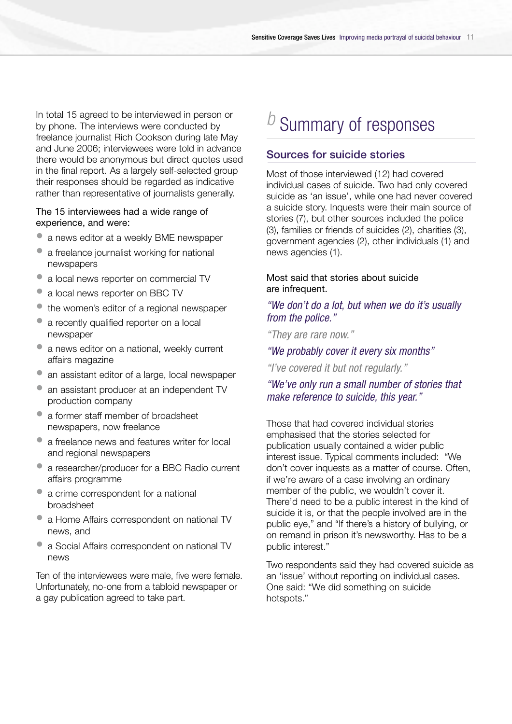In total 15 agreed to be interviewed in person or by phone. The interviews were conducted by freelance journalist Rich Cookson during late May and June 2006; interviewees were told in advance there would be anonymous but direct quotes used in the final report. As a largely self-selected group their responses should be regarded as indicative rather than representative of journalists generally.

#### The 15 interviewees had a wide range of experience, and were:

- a news editor at a weekly BME newspaper
- a freelance journalist working for national newspapers
- a local news reporter on commercial TV
- a local news reporter on BBC TV
- the women's editor of a regional newspaper
- a recently qualified reporter on a local newspaper
- a news editor on a national, weekly current affairs magazine
- an assistant editor of a large, local newspaper
- an assistant producer at an independent TV production company
- a former staff member of broadsheet newspapers, now freelance
- a freelance news and features writer for local and regional newspapers
- a researcher/producer for a BBC Radio current affairs programme
- a crime correspondent for a national broadsheet
- a Home Affairs correspondent on national TV news, and
- a Social Affairs correspondent on national TV news

Ten of the interviewees were male, five were female. Unfortunately, no-one from a tabloid newspaper or a gay publication agreed to take part.

# *b* Summary of responses

#### Sources for suicide stories

Most of those interviewed (12) had covered individual cases of suicide. Two had only covered suicide as 'an issue', while one had never covered a suicide story. Inquests were their main source of stories (7), but other sources included the police (3), families or friends of suicides (2), charities (3), government agencies (2), other individuals (1) and news agencies (1).

#### Most said that stories about suicide are infrequent.

#### *"We don't do a lot, but when we do it's usually from the police."*

*"They are rare now."*

#### *"We probably cover it every six months"*

*"I've covered it but not regularly."*

#### *"We've only run a small number of stories that make reference to suicide, this year."*

Those that had covered individual stories emphasised that the stories selected for publication usually contained a wider public interest issue. Typical comments included: "We don't cover inquests as a matter of course. Often, if we're aware of a case involving an ordinary member of the public, we wouldn't cover it. There'd need to be a public interest in the kind of suicide it is, or that the people involved are in the public eye," and "If there's a history of bullying, or on remand in prison it's newsworthy. Has to be a public interest."

Two respondents said they had covered suicide as an 'issue' without reporting on individual cases. One said: "We did something on suicide hotspots."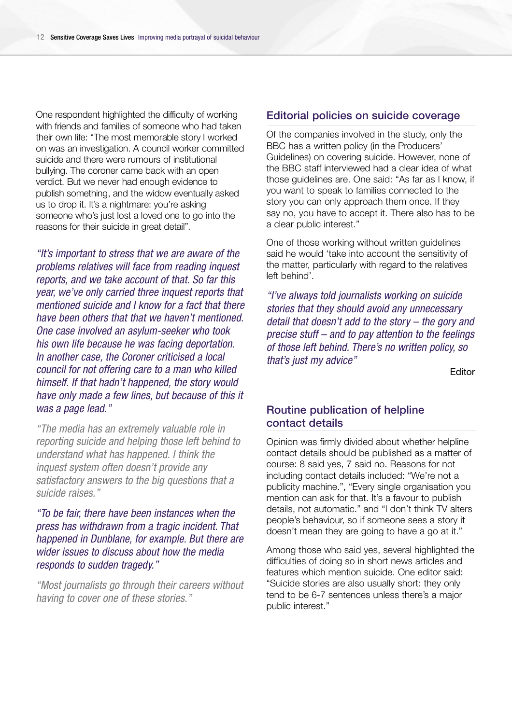One respondent highlighted the difficulty of working with friends and families of someone who had taken their own life: "The most memorable story I worked on was an investigation. A council worker committed suicide and there were rumours of institutional bullying. The coroner came back with an open verdict. But we never had enough evidence to publish something, and the widow eventually asked us to drop it. It's a nightmare: you're asking someone who's just lost a loved one to go into the reasons for their suicide in great detail".

*"It's important to stress that we are aware of the problems relatives will face from reading inquest reports, and we take account of that. So far this year, we've only carried three inquest reports that mentioned suicide and I know for a fact that there have been others that that we haven't mentioned. One case involved an asylum-seeker who took his own life because he was facing deportation. In another case, the Coroner criticised a local council for not offering care to a man who killed himself. If that hadn't happened, the story would have only made a few lines, but because of this it was a page lead."*

*"The media has an extremely valuable role in reporting suicide and helping those left behind to understand what has happened. I think the inquest system often doesn't provide any satisfactory answers to the big questions that a suicide raises."*

*"To be fair, there have been instances when the press has withdrawn from a tragic incident. That happened in Dunblane, for example. But there are wider issues to discuss about how the media responds to sudden tragedy."*

*"Most journalists go through their careers without having to cover one of these stories."*

#### Editorial policies on suicide coverage

Of the companies involved in the study, only the BBC has a written policy (in the Producers' Guidelines) on covering suicide. However, none of the BBC staff interviewed had a clear idea of what those guidelines are. One said: "As far as I know, if you want to speak to families connected to the story you can only approach them once. If they say no, you have to accept it. There also has to be a clear public interest."

One of those working without written guidelines said he would 'take into account the sensitivity of the matter, particularly with regard to the relatives left behind'.

*"I've always told journalists working on suicide stories that they should avoid any unnecessary detail that doesn't add to the story – the gory and precise stuff – and to pay attention to the feelings of those left behind. There's no written policy, so that's just my advice"*

**Editor** 

#### Routine publication of helpline contact details

Opinion was firmly divided about whether helpline contact details should be published as a matter of course: 8 said yes, 7 said no. Reasons for not including contact details included: "We're not a publicity machine.", "Every single organisation you mention can ask for that. It's a favour to publish details, not automatic." and "I don't think TV alters people's behaviour, so if someone sees a story it doesn't mean they are going to have a go at it."

Among those who said yes, several highlighted the difficulties of doing so in short news articles and features which mention suicide. One editor said: "Suicide stories are also usually short: they only tend to be 6-7 sentences unless there's a major public interest."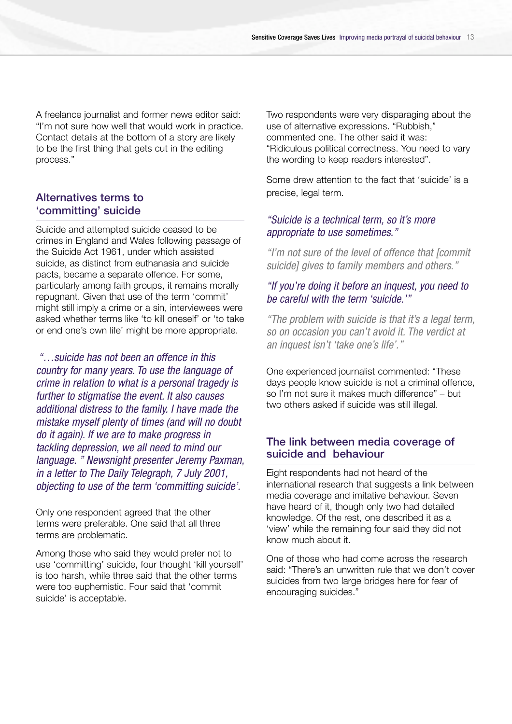A freelance journalist and former news editor said: "I'm not sure how well that would work in practice. Contact details at the bottom of a story are likely to be the first thing that gets cut in the editing process."

#### Alternatives terms to 'committing' suicide

Suicide and attempted suicide ceased to be crimes in England and Wales following passage of the Suicide Act 1961, under which assisted suicide, as distinct from euthanasia and suicide pacts, became a separate offence. For some, particularly among faith groups, it remains morally repugnant. Given that use of the term 'commit' might still imply a crime or a sin, interviewees were asked whether terms like 'to kill oneself' or 'to take or end one's own life' might be more appropriate.

*"…suicide has not been an offence in this country for many years. To use the language of crime in relation to what is a personal tragedy is further to stigmatise the event. It also causes additional distress to the family. I have made the mistake myself plenty of times (and will no doubt do it again). If we are to make progress in tackling depression, we all need to mind our language. " Newsnight presenter Jeremy Paxman, in a letter to The Daily Telegraph, 7 July 2001, objecting to use of the term 'committing suicide'.*

Only one respondent agreed that the other terms were preferable. One said that all three terms are problematic.

Among those who said they would prefer not to use 'committing' suicide, four thought 'kill yourself' is too harsh, while three said that the other terms were too euphemistic. Four said that 'commit suicide' is acceptable.

Two respondents were very disparaging about the use of alternative expressions. "Rubbish," commented one. The other said it was: "Ridiculous political correctness. You need to vary the wording to keep readers interested".

Some drew attention to the fact that 'suicide' is a precise, legal term.

#### *"Suicide is a technical term, so it's more appropriate to use sometimes."*

*"I'm not sure of the level of offence that [commit suicide] gives to family members and others."*

#### *"If you're doing it before an inquest, you need to be careful with the term 'suicide.'"*

*"The problem with suicide is that it's a legal term, so on occasion you can't avoid it. The verdict at an inquest isn't 'take one's life'."*

One experienced journalist commented: "These days people know suicide is not a criminal offence, so I'm not sure it makes much difference" – but two others asked if suicide was still illegal.

#### The link between media coverage of suicide and behaviour

Eight respondents had not heard of the international research that suggests a link between media coverage and imitative behaviour. Seven have heard of it, though only two had detailed knowledge. Of the rest, one described it as a 'view' while the remaining four said they did not know much about it.

One of those who had come across the research said: "There's an unwritten rule that we don't cover suicides from two large bridges here for fear of encouraging suicides."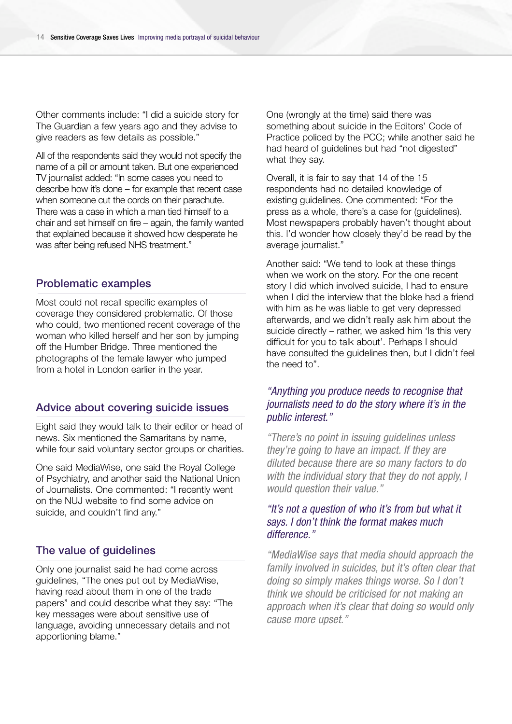Other comments include: "I did a suicide story for The Guardian a few years ago and they advise to give readers as few details as possible."

All of the respondents said they would not specify the name of a pill or amount taken. But one experienced TV journalist added: "In some cases you need to describe how it's done – for example that recent case when someone cut the cords on their parachute. There was a case in which a man tied himself to a chair and set himself on fire – again, the family wanted that explained because it showed how desperate he was after being refused NHS treatment."

#### Problematic examples

Most could not recall specific examples of coverage they considered problematic. Of those who could, two mentioned recent coverage of the woman who killed herself and her son by jumping off the Humber Bridge. Three mentioned the photographs of the female lawyer who jumped from a hotel in London earlier in the year.

#### Advice about covering suicide issues

Eight said they would talk to their editor or head of news. Six mentioned the Samaritans by name, while four said voluntary sector groups or charities.

One said MediaWise, one said the Royal College of Psychiatry, and another said the National Union of Journalists. One commented: "I recently went on the NUJ website to find some advice on suicide, and couldn't find any."

#### The value of guidelines

Only one journalist said he had come across guidelines, "The ones put out by MediaWise, having read about them in one of the trade papers" and could describe what they say: "The key messages were about sensitive use of language, avoiding unnecessary details and not apportioning blame."

One (wrongly at the time) said there was something about suicide in the Editors' Code of Practice policed by the PCC; while another said he had heard of guidelines but had "not digested" what they say.

Overall, it is fair to say that 14 of the 15 respondents had no detailed knowledge of existing guidelines. One commented: "For the press as a whole, there's a case for (guidelines). Most newspapers probably haven't thought about this. I'd wonder how closely they'd be read by the average journalist."

Another said: "We tend to look at these things when we work on the story. For the one recent story I did which involved suicide, I had to ensure when I did the interview that the bloke had a friend with him as he was liable to get very depressed afterwards, and we didn't really ask him about the suicide directly – rather, we asked him 'Is this very difficult for you to talk about'. Perhaps I should have consulted the guidelines then, but I didn't feel the need to".

#### *"Anything you produce needs to recognise that journalists need to do the story where it's in the public interest."*

*"There's no point in issuing guidelines unless they're going to have an impact. If they are diluted because there are so many factors to do with the individual story that they do not apply, I would question their value."*

#### *"It's not a question of who it's from but what it says. I don't think the format makes much difference."*

*"MediaWise says that media should approach the family involved in suicides, but it's often clear that doing so simply makes things worse. So I don't think we should be criticised for not making an approach when it's clear that doing so would only cause more upset."*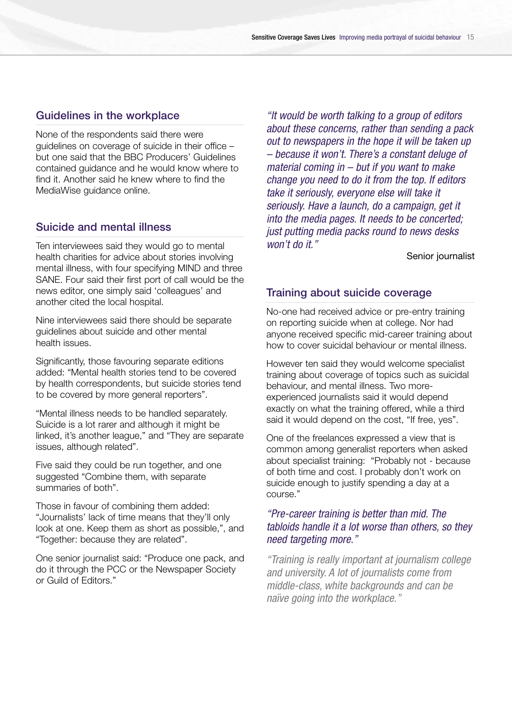#### Guidelines in the workplace

None of the respondents said there were guidelines on coverage of suicide in their office – but one said that the BBC Producers' Guidelines contained guidance and he would know where to find it. Another said he knew where to find the MediaWise guidance online.

#### Suicide and mental illness

Ten interviewees said they would go to mental health charities for advice about stories involving mental illness, with four specifying MIND and three SANE. Four said their first port of call would be the news editor, one simply said 'colleagues' and another cited the local hospital.

Nine interviewees said there should be separate guidelines about suicide and other mental health issues.

Significantly, those favouring separate editions added: "Mental health stories tend to be covered by health correspondents, but suicide stories tend to be covered by more general reporters".

"Mental illness needs to be handled separately. Suicide is a lot rarer and although it might be linked, it's another league," and "They are separate issues, although related".

Five said they could be run together, and one suggested "Combine them, with separate summaries of both".

Those in favour of combining them added: "Journalists' lack of time means that they'll only look at one. Keep them as short as possible,", and "Together: because they are related".

One senior journalist said: "Produce one pack, and do it through the PCC or the Newspaper Society or Guild of Editors."

*"It would be worth talking to a group of editors about these concerns, rather than sending a pack out to newspapers in the hope it will be taken up – because it won't. There's a constant deluge of material coming in – but if you want to make change you need to do it from the top. If editors take it seriously, everyone else will take it seriously. Have a launch, do a campaign, get it into the media pages. It needs to be concerted; just putting media packs round to news desks won't do it."*

Senior journalist

#### Training about suicide coverage

No-one had received advice or pre-entry training on reporting suicide when at college. Nor had anyone received specific mid-career training about how to cover suicidal behaviour or mental illness.

However ten said they would welcome specialist training about coverage of topics such as suicidal behaviour, and mental illness. Two moreexperienced journalists said it would depend exactly on what the training offered, while a third said it would depend on the cost, "If free, yes".

One of the freelances expressed a view that is common among generalist reporters when asked about specialist training: "Probably not - because of both time and cost. I probably don't work on suicide enough to justify spending a day at a course."

#### *"Pre-career training is better than mid. The tabloids handle it a lot worse than others, so they need targeting more."*

*"Training is really important at journalism college and university. A lot of journalists come from middle-class, white backgrounds and can be naïve going into the workplace."*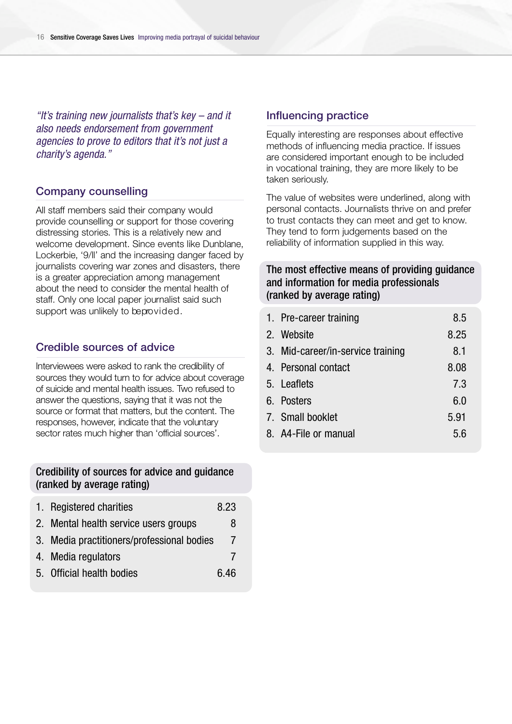*"It's training new journalists that's key – and it also needs endorsement from government agencies to prove to editors that it's not just a charity's agenda."*

#### Company counselling

All staff members said their company would provide counselling or support for those covering distressing stories. This is a relatively new and welcome development. Since events like Dunblane, Lockerbie, '9/ll' and the increasing danger faced by journalists covering war zones and disasters, there is a greater appreciation among management about the need to consider the mental health of staff. Only one local paper journalist said such support was unlikely to beprovided.

#### Credible sources of advice

Interviewees were asked to rank the credibility of sources they would turn to for advice about coverage of suicide and mental health issues. Two refused to answer the questions, saying that it was not the source or format that matters, but the content. The responses, however, indicate that the voluntary sector rates much higher than 'official sources'.

#### Credibility of sources for advice and guidance (ranked by average rating)

| 1. Registered charities                    | 8.23 |
|--------------------------------------------|------|
| 2. Mental health service users groups      | 8    |
| 3. Media practitioners/professional bodies | 7    |
| 4. Media regulators                        |      |
| 5. Official health bodies                  | 6.46 |

#### Influencing practice

Equally interesting are responses about effective methods of influencing media practice. If issues are considered important enough to be included in vocational training, they are more likely to be taken seriously.

The value of websites were underlined, along with personal contacts. Journalists thrive on and prefer to trust contacts they can meet and get to know. They tend to form judgements based on the reliability of information supplied in this way.

#### The most effective means of providing guidance and information for media professionals (ranked by average rating)

| 1. Pre-career training            | 8.5  |
|-----------------------------------|------|
| 2. Website                        | 8.25 |
| 3. Mid-career/in-service training | 8.1  |
| 4. Personal contact               | 8.08 |
| 5. Leaflets                       | 7.3  |
| 6. Posters                        | 6.0  |
| 7. Small booklet                  | 5.91 |
| 8. A4-File or manual              | 5.6  |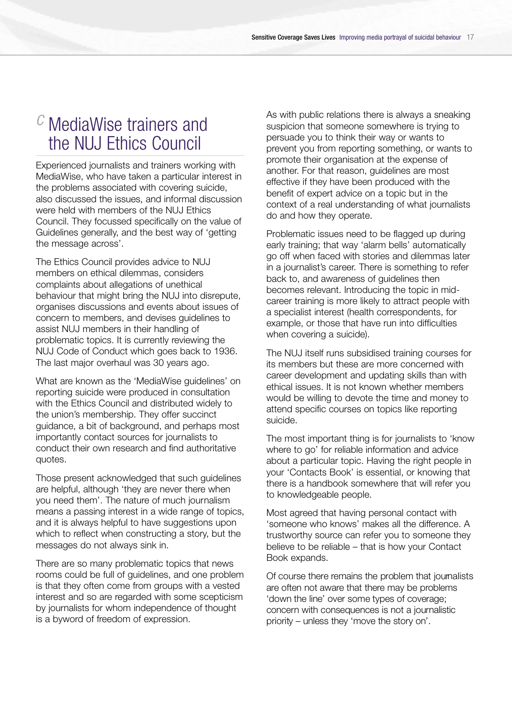### *c* MediaWise trainers and the NUJ Ethics Council

Experienced journalists and trainers working with MediaWise, who have taken a particular interest in the problems associated with covering suicide, also discussed the issues, and informal discussion were held with members of the NUJ Ethics Council. They focussed specifically on the value of Guidelines generally, and the best way of 'getting the message across'.

The Ethics Council provides advice to NUJ members on ethical dilemmas, considers complaints about allegations of unethical behaviour that might bring the NUJ into disrepute, organises discussions and events about issues of concern to members, and devises guidelines to assist NUJ members in their handling of problematic topics. It is currently reviewing the NUJ Code of Conduct which goes back to 1936. The last major overhaul was 30 years ago.

What are known as the 'MediaWise guidelines' on reporting suicide were produced in consultation with the Ethics Council and distributed widely to the union's membership. They offer succinct guidance, a bit of background, and perhaps most importantly contact sources for journalists to conduct their own research and find authoritative quotes.

Those present acknowledged that such guidelines are helpful, although 'they are never there when you need them'. The nature of much journalism means a passing interest in a wide range of topics, and it is always helpful to have suggestions upon which to reflect when constructing a story, but the messages do not always sink in.

There are so many problematic topics that news rooms could be full of guidelines, and one problem is that they often come from groups with a vested interest and so are regarded with some scepticism by journalists for whom independence of thought is a byword of freedom of expression.

As with public relations there is always a sneaking suspicion that someone somewhere is trying to persuade you to think their way or wants to prevent you from reporting something, or wants to promote their organisation at the expense of another. For that reason, guidelines are most effective if they have been produced with the benefit of expert advice on a topic but in the context of a real understanding of what journalists do and how they operate.

Problematic issues need to be flagged up during early training; that way 'alarm bells' automatically go off when faced with stories and dilemmas later in a journalist's career. There is something to refer back to, and awareness of guidelines then becomes relevant. Introducing the topic in midcareer training is more likely to attract people with a specialist interest (health correspondents, for example, or those that have run into difficulties when covering a suicide).

The NUJ itself runs subsidised training courses for its members but these are more concerned with career development and updating skills than with ethical issues. It is not known whether members would be willing to devote the time and money to attend specific courses on topics like reporting suicide.

The most important thing is for journalists to 'know where to go' for reliable information and advice about a particular topic. Having the right people in your 'Contacts Book' is essential, or knowing that there is a handbook somewhere that will refer you to knowledgeable people.

Most agreed that having personal contact with 'someone who knows' makes all the difference. A trustworthy source can refer you to someone they believe to be reliable – that is how your Contact Book expands.

Of course there remains the problem that journalists are often not aware that there may be problems 'down the line' over some types of coverage; concern with consequences is not a journalistic priority – unless they 'move the story on'.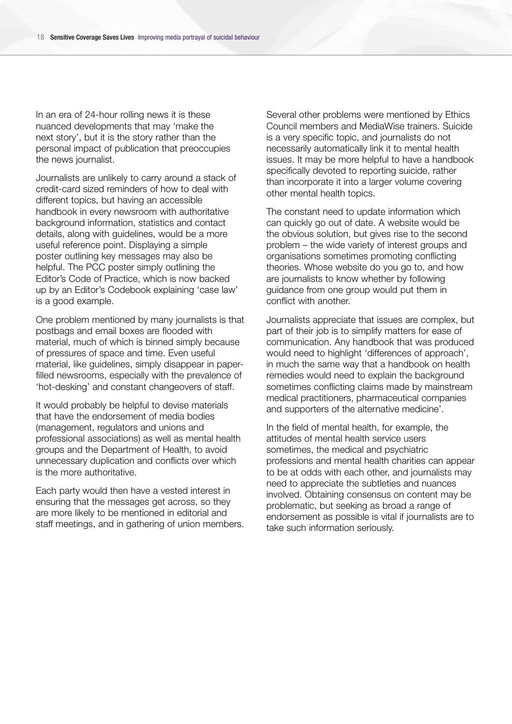In an era of 24-hour rolling news it is these nuanced developments that may 'make the next story', but it is the story rather than the personal impact of publication that preoccupies the news journalist.

Journalists are unlikely to carry around a stack of credit-card sized reminders of how to deal with different topics, but having an accessible handbook in every newsroom with authoritative background information, statistics and contact details, along with guidelines, would be a more useful reference point. Displaying a simple poster outlining key messages may also be helpful. The PCC poster simply outlining the Editor's Code of Practice, which is now backed up by an Editor's Codebook explaining 'case law' is a good example.

One problem mentioned by many journalists is that postbags and email boxes are flooded with material, much of which is binned simply because of pressures of space and time. Even useful material, like guidelines, simply disappear in paperfilled newsrooms, especially with the prevalence of 'hot-desking' and constant changeovers of staff.

It would probably be helpful to devise materials that have the endorsement of media bodies (management, regulators and unions and professional associations) as well as mental health groups and the Department of Health, to avoid unnecessary duplication and conflicts over which is the more authoritative.

Each party would then have a vested interest in ensuring that the messages get across, so they are more likely to be mentioned in editorial and staff meetings, and in gathering of union members. Several other problems were mentioned by Ethics Council members and MediaWise trainers. Suicide is a very specific topic, and journalists do not necessarily automatically link it to mental health issues. It may be more helpful to have a handbook specifically devoted to reporting suicide, rather than incorporate it into a larger volume covering other mental health topics.

The constant need to update information which can quickly go out of date. A website would be the obvious solution, but gives rise to the second problem – the wide variety of interest groups and organisations sometimes promoting conflicting theories. Whose website do you go to, and how are journalists to know whether by following guidance from one group would put them in conflict with another.

Journalists appreciate that issues are complex, but part of their job is to simplify matters for ease of communication. Any handbook that was produced would need to highlight 'differences of approach', in much the same way that a handbook on health remedies would need to explain the background sometimes conflicting claims made by mainstream medical practitioners, pharmaceutical companies and supporters of the alternative medicine'.

In the field of mental health, for example, the attitudes of mental health service users sometimes, the medical and psychiatric professions and mental health charities can appear to be at odds with each other, and journalists may need to appreciate the subtleties and nuances involved. Obtaining consensus on content may be problematic, but seeking as broad a range of endorsement as possible is vital if journalists are to take such information seriously.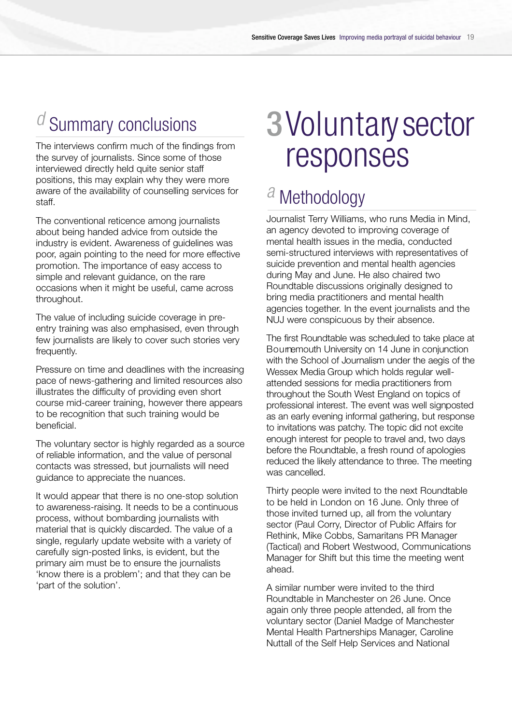# **Summary conclusions**

The interviews confirm much of the findings from the survey of journalists. Since some of those interviewed directly held quite senior staff positions, this may explain why they were more aware of the availability of counselling services for staff.

The conventional reticence among journalists about being handed advice from outside the industry is evident. Awareness of guidelines was poor, again pointing to the need for more effective promotion. The importance of easy access to simple and relevant guidance, on the rare occasions when it might be useful, came across throughout.

The value of including suicide coverage in preentry training was also emphasised, even through few journalists are likely to cover such stories very frequently.

Pressure on time and deadlines with the increasing pace of news-gathering and limited resources also illustrates the difficulty of providing even short course mid-career training, however there appears to be recognition that such training would be beneficial.

The voluntary sector is highly regarded as a source of reliable information, and the value of personal contacts was stressed, but journalists will need guidance to appreciate the nuances.

It would appear that there is no one-stop solution to awareness-raising. It needs to be a continuous process, without bombarding journalists with material that is quickly discarded. The value of a single, regularly update website with a variety of carefully sign-posted links, is evident, but the primary aim must be to ensure the journalists 'know there is a problem'; and that they can be 'part of the solution'.

# 3 Voluntary sector responses

## *a* Methodology

Journalist Terry Williams, who runs Media in Mind, an agency devoted to improving coverage of mental health issues in the media, conducted semi-structured interviews with representatives of suicide prevention and mental health agencies during May and June. He also chaired two Roundtable discussions originally designed to bring media practitioners and mental health agencies together. In the event journalists and the NUJ were conspicuous by their absence.

The first Roundtable was scheduled to take place at Bournemouth University on 14 June in conjunction with the School of Journalism under the aegis of the Wessex Media Group which holds regular wellattended sessions for media practitioners from throughout the South West England on topics of p rofessional interest. The event was well signposted as an early evening informal gathering, but response to invitations was patchy. The topic did not excite enough interest for people to travel and, two days before the Roundtable, a fresh round of apologies reduced the likely attendance to three. The meeting was cancelled.

Thirty people were invited to the next Roundtable to be held in London on 16 June. Only three of those invited turned up, all from the voluntary sector (Paul Corry, Director of Public Affairs for Rethink, Mike Cobbs, Samaritans PR Manager (Tactical) and Robert Westwood, Communications Manager for Shift but this time the meeting went ahead.

A similar number were invited to the third Roundtable in Manchester on 26 June. Once again only three people attended, all from the voluntary sector (Daniel Madge of Manchester Mental Health Partnerships Manager, Caroline Nuttall of the Self Help Services and National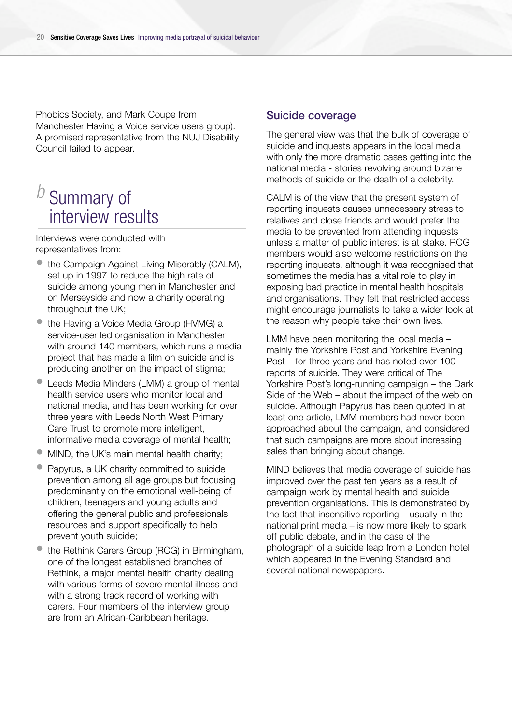Phobics Society, and Mark Coupe from Manchester Having a Voice service users group). A promised representative from the NUJ Disability Council failed to appear.

# **Summary of** interview results

Interviews were conducted with representatives from:

- the Campaign Against Living Miserably (CALM), set up in 1997 to reduce the high rate of suicide among young men in Manchester and on Merseyside and now a charity operating throughout the UK;
- the Having a Voice Media Group (HVMG) a service-user led organisation in Manchester with around 140 members, which runs a media project that has made a film on suicide and is producing another on the impact of stigma;
- Leeds Media Minders (LMM) a group of mental health service users who monitor local and national media, and has been working for over three years with Leeds North West Primary Care Trust to promote more intelligent, informative media coverage of mental health;
- MIND, the UK's main mental health charity;
- Papyrus, a UK charity committed to suicide prevention among all age groups but focusing predominantly on the emotional well-being of children, teenagers and young adults and offering the general public and professionals resources and support specifically to help prevent youth suicide;
- the Rethink Carers Group (RCG) in Birmingham, one of the longest established branches of Rethink, a major mental health charity dealing with various forms of severe mental illness and with a strong track record of working with carers. Four members of the interview group are from an African-Caribbean heritage.

#### Suicide coverage

The general view was that the bulk of coverage of suicide and inquests appears in the local media with only the more dramatic cases getting into the national media - stories revolving around bizarre methods of suicide or the death of a celebrity.

CALM is of the view that the present system of reporting inquests causes unnecessary stress to relatives and close friends and would prefer the media to be prevented from attending inquests unless a matter of public interest is at stake. RCG members would also welcome restrictions on the reporting inquests, although it was recognised that sometimes the media has a vital role to play in exposing bad practice in mental health hospitals and organisations. They felt that restricted access might encourage journalists to take a wider look at the reason why people take their own lives.

LMM have been monitoring the local media – mainly the Yorkshire Post and Yorkshire Evening Post – for three years and has noted over 100 reports of suicide. They were critical of The Yorkshire Post's long-running campaign – the Dark Side of the Web – about the impact of the web on suicide. Although Papyrus has been quoted in at least one article, LMM members had never been approached about the campaign, and considered that such campaigns are more about increasing sales than bringing about change.

MIND believes that media coverage of suicide has improved over the past ten years as a result of campaign work by mental health and suicide prevention organisations. This is demonstrated by the fact that insensitive reporting – usually in the national print media – is now more likely to spark off public debate, and in the case of the photograph of a suicide leap from a London hotel which appeared in the Evening Standard and several national newspapers.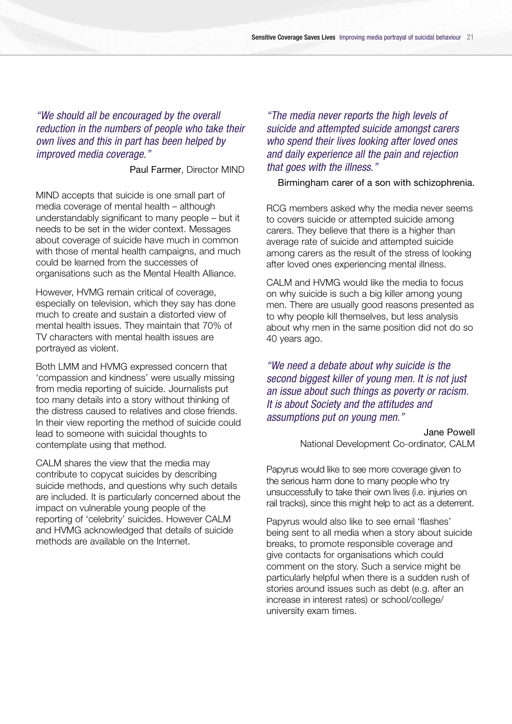*"We should all be encouraged by the overall reduction in the numbers of people who take their own lives and this in part has been helped by improved media coverage."*

Paul Farmer, Director MIND

MIND accepts that suicide is one small part of media coverage of mental health – although understandably significant to many people – but it needs to be set in the wider context. Messages about coverage of suicide have much in common with those of mental health campaigns, and much could be learned from the successes of organisations such as the Mental Health Alliance.

However, HVMG remain critical of coverage, especially on television, which they say has done much to create and sustain a distorted view of mental health issues. They maintain that 70% of TV characters with mental health issues are portrayed as violent.

Both LMM and HVMG expressed concern that 'compassion and kindness' were usually missing from media reporting of suicide. Journalists put too many details into a story without thinking of the distress caused to relatives and close friends. In their view reporting the method of suicide could lead to someone with suicidal thoughts to contemplate using that method.

CALM shares the view that the media may contribute to copycat suicides by describing suicide methods, and questions why such details are included. It is particularly concerned about the impact on vulnerable young people of the reporting of 'celebrity' suicides. However CALM and HVMG acknowledged that details of suicide methods are available on the Internet.

*"The media never reports the high levels of suicide and attempted suicide amongst carers who spend their lives looking after loved ones and daily experience all the pain and rejection that goes with the illness."*

Birmingham carer of a son with schizophrenia.

RCG members asked why the media never seems to covers suicide or attempted suicide among carers. They believe that there is a higher than average rate of suicide and attempted suicide among carers as the result of the stress of looking after loved ones experiencing mental illness.

CALM and HVMG would like the media to focus on why suicide is such a big killer among young men. There are usually good reasons presented as to why people kill themselves, but less analysis about why men in the same position did not do so 40 years ago.

*"We need a debate about why suicide is the second biggest killer of young men. It is not just an issue about such things as poverty or racism. It is about Society and the attitudes and assumptions put on young men."*

> Jane Powell National Development Co-ordinator, CALM

Papyrus would like to see more coverage given to the serious harm done to many people who try unsuccessfully to take their own lives (i.e. injuries on rail tracks), since this might help to act as a deterrent.

Papyrus would also like to see email 'flashes' being sent to all media when a story about suicide breaks, to promote responsible coverage and give contacts for organisations which could comment on the story. Such a service might be particularly helpful when there is a sudden rush of stories around issues such as debt (e.g. after an increase in interest rates) or school/college/ university exam times.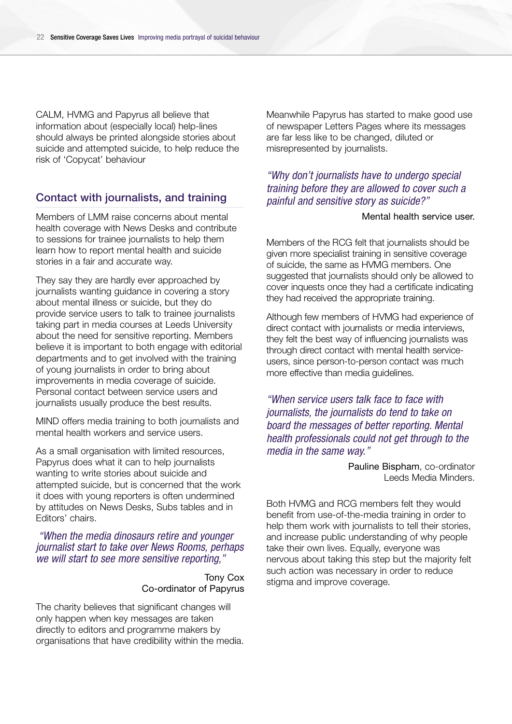CALM, HVMG and Papyrus all believe that information about (especially local) help-lines should always be printed alongside stories about suicide and attempted suicide, to help reduce the risk of 'Copycat' behaviour

#### Contact with journalists, and training

Members of LMM raise concerns about mental health coverage with News Desks and contribute to sessions for trainee journalists to help them learn how to report mental health and suicide stories in a fair and accurate way.

They say they are hardly ever approached by journalists wanting guidance in covering a story about mental illness or suicide, but they do provide service users to talk to trainee journalists taking part in media courses at Leeds University about the need for sensitive reporting. Members believe it is important to both engage with editorial departments and to get involved with the training of young journalists in order to bring about improvements in media coverage of suicide. Personal contact between service users and journalists usually produce the best results.

MIND offers media training to both journalists and mental health workers and service users.

As a small organisation with limited resources, Papyrus does what it can to help journalists wanting to write stories about suicide and attempted suicide, but is concerned that the work it does with young reporters is often undermined by attitudes on News Desks, Subs tables and in Editors' chairs.

*"When the media dinosaurs retire and younger journalist start to take over News Rooms, perhaps we will start to see more sensitive reporting,"*

> Tony Cox Co-ordinator of Papyrus

The charity believes that significant changes will only happen when key messages are taken directly to editors and programme makers by organisations that have credibility within the media. Meanwhile Papyrus has started to make good use of newspaper Letters Pages where its messages are far less like to be changed, diluted or misrepresented by journalists.

#### *"Why don't journalists have to undergo special training before they are allowed to cover such a painful and sensitive story as suicide?"*

#### Mental health service user.

Members of the RCG felt that journalists should be given more specialist training in sensitive coverage of suicide, the same as HVMG members. One suggested that journalists should only be allowed to cover inquests once they had a certificate indicating they had received the appropriate training.

Although few members of HVMG had experience of direct contact with journalists or media interviews. they felt the best way of influencing journalists was through direct contact with mental health serviceusers, since person-to-person contact was much more effective than media quidelines.

*"When service users talk face to face with journalists, the journalists do tend to take on board the messages of better reporting. Mental health professionals could not get through to the media in the same way."*

> Pauline Bispham, co-ordinator Leeds Media Minders.

Both HVMG and RCG members felt they would benefit from use-of-the-media training in order to help them work with journalists to tell their stories, and increase public understanding of why people take their own lives. Equally, everyone was nervous about taking this step but the majority felt such action was necessary in order to reduce stigma and improve coverage.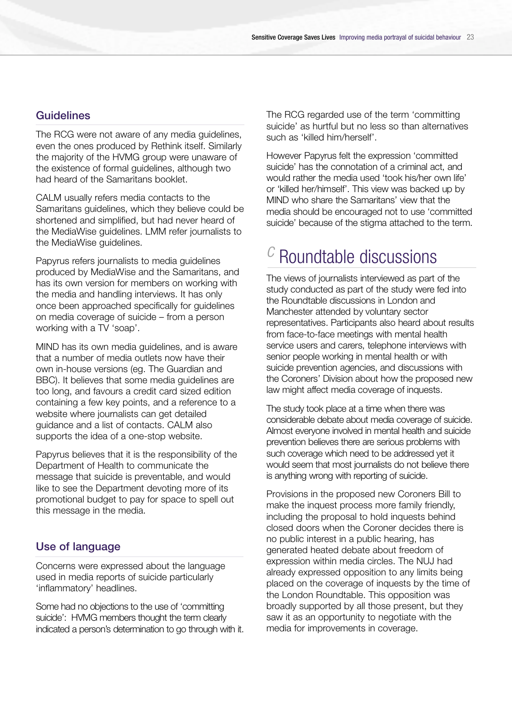#### Guidelines

The RCG were not aware of any media guidelines, even the ones produced by Rethink itself. Similarly the majority of the HVMG group were unaware of the existence of formal guidelines, although two had heard of the Samaritans booklet.

CALM usually refers media contacts to the Samaritans guidelines, which they believe could be shortened and simplified, but had never heard of the MediaWise guidelines. LMM refer journalists to the MediaWise guidelines.

Papyrus refers journalists to media guidelines produced by MediaWise and the Samaritans, and has its own version for members on working with the media and handling interviews. It has only once been approached specifically for guidelines on media coverage of suicide – from a person working with a TV 'soap'.

MIND has its own media guidelines, and is aware that a number of media outlets now have their own in-house versions (eg. The Guardian and BBC). It believes that some media guidelines are too long, and favours a credit card sized edition containing a few key points, and a reference to a website where journalists can get detailed guidance and a list of contacts. CALM also supports the idea of a one-stop website.

Papyrus believes that it is the responsibility of the Department of Health to communicate the message that suicide is preventable, and would like to see the Department devoting more of its promotional budget to pay for space to spell out this message in the media.

#### Use of language

Concerns were expressed about the language used in media reports of suicide particularly 'inflammatory' headlines.

Some had no objections to the use of 'committing suicide': HVMG members thought the term clearly indicated a person's determination to go through with it. The RCG regarded use of the term 'committing suicide' as hurtful but no less so than alternatives such as 'killed him/herself'.

However Papyrus felt the expression 'committed suicide' has the connotation of a criminal act, and would rather the media used 'took his/her own life' or 'killed her/himself'. This view was backed up by MIND who share the Samaritans' view that the media should be encouraged not to use 'committed suicide' because of the stigma attached to the term.

## **Roundtable discussions**

The views of journalists interviewed as part of the study conducted as part of the study were fed into the Roundtable discussions in London and Manchester attended by voluntary sector representatives. Participants also heard about results from face-to-face meetings with mental health service users and carers, telephone interviews with senior people working in mental health or with suicide prevention agencies, and discussions with the Coroners' Division about how the proposed new law might affect media coverage of inquests.

The study took place at a time when there was considerable debate about media coverage of suicide. Almost everyone involved in mental health and suicide prevention believes there are serious problems with such coverage which need to be addressed yet it would seem that most journalists do not believe there is anything wrong with reporting of suicide.

Provisions in the proposed new Coroners Bill to make the inquest process more family friendly, including the proposal to hold inquests behind closed doors when the Coroner decides there is no public interest in a public hearing, has generated heated debate about freedom of expression within media circles. The NUJ had already expressed opposition to any limits being placed on the coverage of inquests by the time of the London Roundtable. This opposition was broadly supported by all those present, but they saw it as an opportunity to negotiate with the media for improvements in coverage.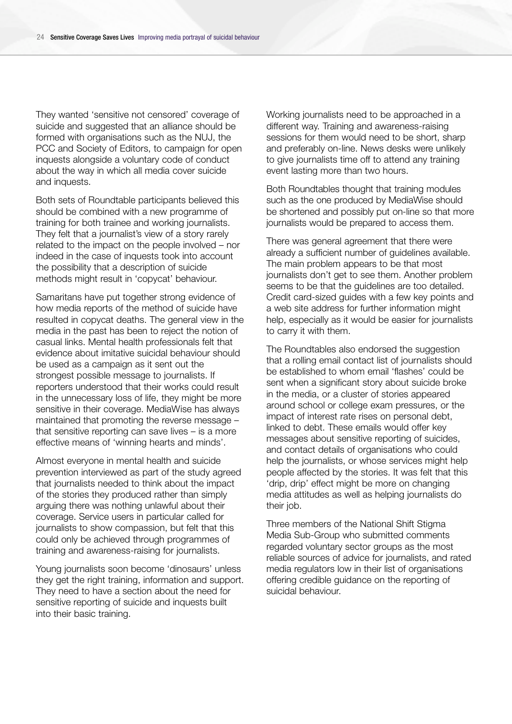They wanted 'sensitive not censored' coverage of suicide and suggested that an alliance should be formed with organisations such as the NUJ, the PCC and Society of Editors, to campaign for open inquests alongside a voluntary code of conduct about the way in which all media cover suicide and inquests.

Both sets of Roundtable participants believed this should be combined with a new programme of training for both trainee and working journalists. They felt that a journalist's view of a story rarely related to the impact on the people involved – nor indeed in the case of inquests took into account the possibility that a description of suicide methods might result in 'copycat' behaviour.

Samaritans have put together strong evidence of how media reports of the method of suicide have resulted in copycat deaths. The general view in the media in the past has been to reject the notion of casual links. Mental health professionals felt that evidence about imitative suicidal behaviour should be used as a campaign as it sent out the strongest possible message to journalists. If reporters understood that their works could result in the unnecessary loss of life, they might be more sensitive in their coverage. MediaWise has always maintained that promoting the reverse message – that sensitive reporting can save lives – is a more effective means of 'winning hearts and minds'.

Almost everyone in mental health and suicide prevention interviewed as part of the study agreed that journalists needed to think about the impact of the stories they produced rather than simply arguing there was nothing unlawful about their coverage. Service users in particular called for journalists to show compassion, but felt that this could only be achieved through programmes of training and awareness-raising for journalists.

Young journalists soon become 'dinosaurs' unless they get the right training, information and support. They need to have a section about the need for sensitive reporting of suicide and inquests built into their basic training.

Working journalists need to be approached in a different way. Training and awareness-raising sessions for them would need to be short, sharp and preferably on-line. News desks were unlikely to give journalists time off to attend any training event lasting more than two hours.

Both Roundtables thought that training modules such as the one produced by MediaWise should be shortened and possibly put on-line so that more journalists would be prepared to access them.

There was general agreement that there were already a sufficient number of guidelines available. The main problem appears to be that most journalists don't get to see them. Another problem seems to be that the guidelines are too detailed. Credit card-sized guides with a few key points and a web site address for further information might help, especially as it would be easier for journalists to carry it with them.

The Roundtables also endorsed the suggestion that a rolling email contact list of journalists should be established to whom email 'flashes' could be sent when a significant story about suicide broke in the media, or a cluster of stories appeared around school or college exam pressures, or the impact of interest rate rises on personal debt, linked to debt. These emails would offer key messages about sensitive reporting of suicides, and contact details of organisations who could help the journalists, or whose services might help people affected by the stories. It was felt that this 'drip, drip' effect might be more on changing media attitudes as well as helping journalists do their job.

Three members of the National Shift Stigma Media Sub-Group who submitted comments regarded voluntary sector groups as the most reliable sources of advice for journalists, and rated media regulators low in their list of organisations offering credible guidance on the reporting of suicidal behaviour.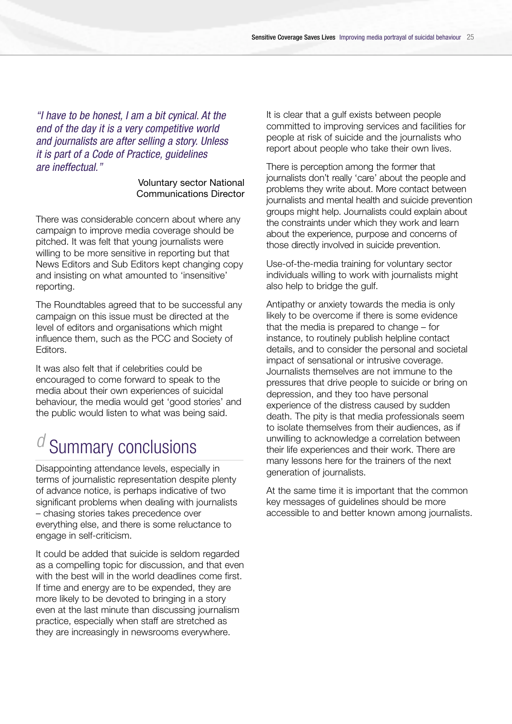*"I have to be honest, I am a bit cynical. At the end of the day it is a very competitive world and journalists are after selling a story. Unless it is part of a Code of Practice, guidelines are ineffectual."*

#### Voluntary sector National Communications Director

There was considerable concern about where any campaign to improve media coverage should be pitched. It was felt that young journalists were willing to be more sensitive in reporting but that News Editors and Sub Editors kept changing copy and insisting on what amounted to 'insensitive' reporting.

The Roundtables agreed that to be successful any campaign on this issue must be directed at the level of editors and organisations which might influence them, such as the PCC and Society of Editors.

It was also felt that if celebrities could be encouraged to come forward to speak to the media about their own experiences of suicidal behaviour, the media would get 'good stories' and the public would listen to what was being said.

# **Summary conclusions**

Disappointing attendance levels, especially in terms of journalistic representation despite plenty of advance notice, is perhaps indicative of two significant problems when dealing with journalists – chasing stories takes precedence over everything else, and there is some reluctance to engage in self-criticism.

It could be added that suicide is seldom regarded as a compelling topic for discussion, and that even with the best will in the world deadlines come first. If time and energy are to be expended, they are more likely to be devoted to bringing in a story even at the last minute than discussing journalism practice, especially when staff are stretched as they are increasingly in newsrooms everywhere.

It is clear that a gulf exists between people committed to improving services and facilities for people at risk of suicide and the journalists who report about people who take their own lives.

There is perception among the former that journalists don't really 'care' about the people and p roblems they write about. More contact between journalists and mental health and suicide prevention groups might help. Journalists could explain about the constraints under which they work and learn about the experience, purpose and concerns of those directly involved in suicide prevention.

Use-of-the-media training for voluntary sector individuals willing to work with journalists might also help to bridge the gulf.

Antipathy or anxiety towards the media is only likely to be overcome if there is some evidence that the media is prepared to change – for instance, to routinely publish helpline contact details, and to consider the personal and societal impact of sensational or intrusive coverage. Journalists themselves are not immune to the pressures that drive people to suicide or bring on depression, and they too have personal experience of the distress caused by sudden death. The pity is that media professionals seem to isolate themselves from their audiences, as if unwilling to acknowledge a correlation between their life experiences and their work. There are many lessons here for the trainers of the next generation of journalists.

At the same time it is important that the common key messages of guidelines should be more accessible to and better known among journalists.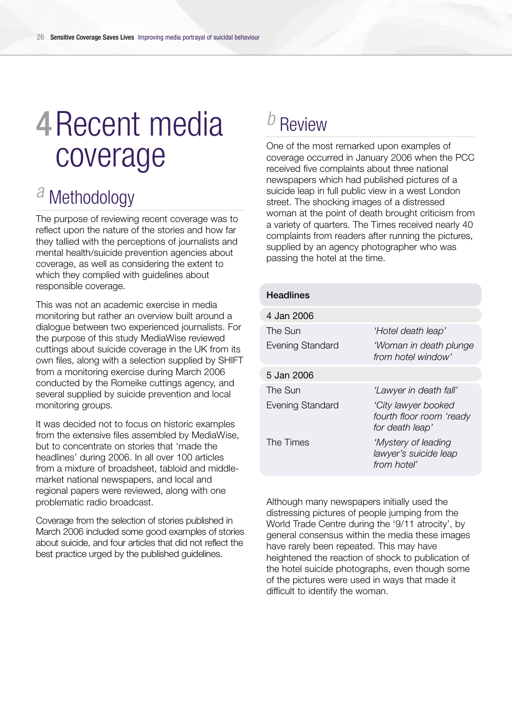# 4Recent media coverage

# *a* Methodology

The purpose of reviewing recent coverage was to reflect upon the nature of the stories and how far they tallied with the perceptions of journalists and mental health/suicide prevention agencies about coverage, as well as considering the extent to which they complied with guidelines about responsible coverage.

This was not an academic exercise in media monitoring but rather an overview built around a dialogue between two experienced journalists. For the purpose of this study MediaWise reviewed cuttings about suicide coverage in the UK from its own files, along with a selection supplied by SHIFT from a monitoring exercise during March 2006 conducted by the Romeike cuttings agency, and several supplied by suicide prevention and local monitoring groups.

It was decided not to focus on historic examples from the extensive files assembled by MediaWise, but to concentrate on stories that 'made the headlines' during 2006. In all over 100 articles from a mixture of broadsheet, tabloid and middlemarket national newspapers, and local and regional papers were reviewed, along with one problematic radio broadcast.

Coverage from the selection of stories published in March 2006 included some good examples of stories about suicide, and four articles that did not reflect the best practice urged by the published guidelines.

# *b* Review

One of the most remarked upon examples of coverage occurred in January 2006 when the PCC received five complaints about three national newspapers which had published pictures of a suicide leap in full public view in a west London street. The shocking images of a distressed woman at the point of death brought criticism from a variety of quarters. The Times received nearly 40 complaints from readers after running the pictures, supplied by an agency photographer who was passing the hotel at the time.

| <b>Headlines</b>        |                                                                    |
|-------------------------|--------------------------------------------------------------------|
| 4 Jan 2006              |                                                                    |
| The Sun                 | 'Hotel death leap'                                                 |
| <b>Evening Standard</b> | 'Woman in death plunge<br>from hotel window'                       |
| 5 Jan 2006              |                                                                    |
| The Sun                 | 'Lawyer in death fall'                                             |
| <b>Evening Standard</b> | 'City lawyer booked<br>fourth floor room 'ready<br>for death leap' |
| The Times               | 'Mystery of leading<br>lawyer's suicide leap<br>from hotel'        |

Although many newspapers initially used the distressing pictures of people jumping from the World Trade Centre during the '9/11 atrocity', by general consensus within the media these images have rarely been repeated. This may have heightened the reaction of shock to publication of the hotel suicide photographs, even though some of the pictures were used in ways that made it difficult to identify the woman.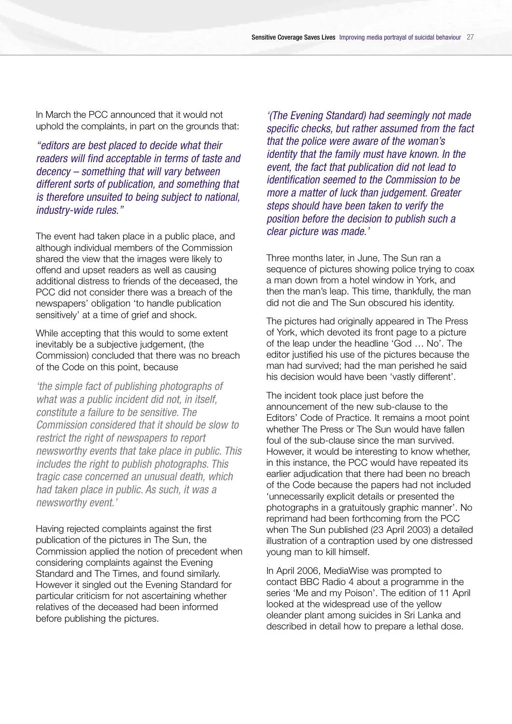In March the PCC announced that it would not uphold the complaints, in part on the grounds that:

*"editors are best placed to decide what their readers will find acceptable in terms of taste and decency – something that will vary between different sorts of publication, and something that is therefore unsuited to being subject to national, industry-wide rules."*

The event had taken place in a public place, and although individual members of the Commission shared the view that the images were likely to offend and upset readers as well as causing additional distress to friends of the deceased, the PCC did not consider there was a breach of the newspapers' obligation 'to handle publication sensitively' at a time of grief and shock.

While accepting that this would to some extent inevitably be a subjective judgement, (the Commission) concluded that there was no breach of the Code on this point, because

*'the simple fact of publishing photographs of what was a public incident did not, in itself, constitute a failure to be sensitive. The Commission considered that it should be slow to restrict the right of newspapers to report newsworthy events that take place in public. This includes the right to publish photographs. This tragic case concerned an unusual death, which had taken place in public. As such, it was a newsworthy event.'*

Having rejected complaints against the first publication of the pictures in The Sun, the Commission applied the notion of precedent when considering complaints against the Evening Standard and The Times, and found similarly. However it singled out the Evening Standard for particular criticism for not ascertaining whether relatives of the deceased had been informed before publishing the pictures.

*'(The Evening Standard) had seemingly not made specific checks, but rather assumed from the fact that the police were aware of the woman's identity that the family must have known. In the event, the fact that publication did not lead to identification seemed to the Commission to be more a matter of luck than judgement. Greater steps should have been taken to verify the position before the decision to publish such a clear picture was made.'* 

Three months later, in June, The Sun ran a sequence of pictures showing police trying to coax a man down from a hotel window in York, and then the man's leap. This time, thankfully, the man did not die and The Sun obscured his identity.

The pictures had originally appeared in The Press of York, which devoted its front page to a picture of the leap under the headline 'God … No'. The editor justified his use of the pictures because the man had survived; had the man perished he said his decision would have been 'vastly different'.

The incident took place just before the announcement of the new sub-clause to the Editors' Code of Practice. It remains a moot point whether The Press or The Sun would have fallen foul of the sub-clause since the man survived. However, it would be interesting to know whether, in this instance, the PCC would have repeated its earlier adjudication that there had been no breach of the Code because the papers had not included 'unnecessarily explicit details or presented the photographs in a gratuitously graphic manner'. No reprimand had been forthcoming from the PCC when The Sun published (23 April 2003) a detailed illustration of a contraption used by one distressed young man to kill himself.

In April 2006, MediaWise was prompted to contact BBC Radio 4 about a programme in the series 'Me and my Poison'. The edition of 11 April looked at the widespread use of the yellow oleander plant among suicides in Sri Lanka and described in detail how to prepare a lethal dose.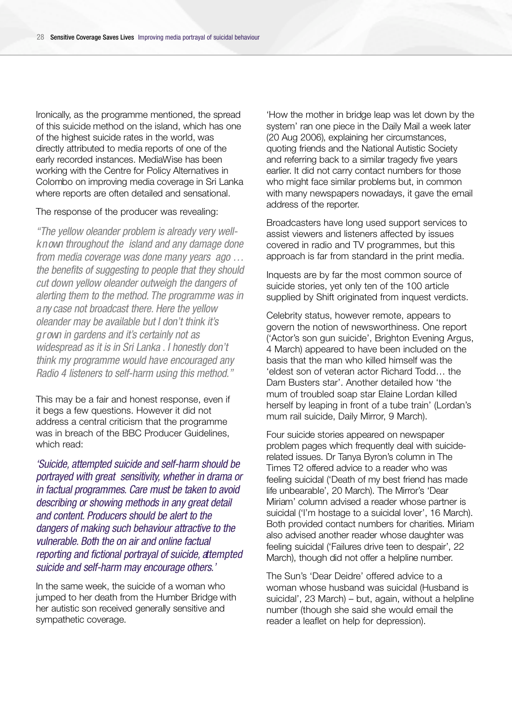Ironically, as the programme mentioned, the spread of this suicide method on the island, which has one of the highest suicide rates in the world, was directly attributed to media reports of one of the early recorded instances. MediaWise has been working with the Centre for Policy Alternatives in Colombo on improving media coverage in Sri Lanka where reports are often detailed and sensational.

The response of the producer was revealing:

*"The yellow oleander problem is already very wellk n own throughout the island and any damage done from media coverage was done many years ago … the benefits of suggesting to people that they should cut down yellow oleander outweigh the dangers of alerting them to the method. The programme was in a ny case not broadcast there. Here the yellow oleander may be available but I don't think it's g r own in gardens and it's certainly not as widespread as it is in Sri Lanka . I honestly don't think my programme would have encouraged any Radio 4 listeners to self-harm using this method."*

This may be a fair and honest response, even if it begs a few questions. However it did not address a central criticism that the programme was in breach of the BBC Producer Guidelines, which read:

*' S u i c i d e , attempted suicide and self-harm should be portrayed with great sensitivity, whether in drama or in factual programmes. Care must be taken to avoid describing or showing methods in any great detail and content. Producers should be alert to the dangers of making such behaviour attractive to the vulnerable. Both the on air and online factual reporting and fictional portrayal of suicide, attempted suicide and self-harm may encourage others.'*

In the same week, the suicide of a woman who jumped to her death from the Humber Bridge with her autistic son received generally sensitive and sympathetic coverage.

'How the mother in bridge leap was let down by the system' ran one piece in the Daily Mail a week later (20 Aug 2006), explaining her circumstances, quoting friends and the National Autistic Society and referring back to a similar tragedy five years earlier. It did not carry contact numbers for those who might face similar problems but, in common with many newspapers nowadays, it gave the email address of the reporter.

Broadcasters have long used support services to assist viewers and listeners affected by issues covered in radio and TV programmes, but this approach is far from standard in the print media.

Inquests are by far the most common source of suicide stories, yet only ten of the 100 article supplied by Shift originated from inquest verdicts.

Celebrity status, however remote, appears to govern the notion of newsworthiness. One report ('Actor's son gun suicide', Brighton Evening Argus, 4 March) appeared to have been included on the basis that the man who killed himself was the 'eldest son of veteran actor Richard Todd… the Dam Busters star'. Another detailed how 'the mum of troubled soap star Elaine Lordan killed herself by leaping in front of a tube train' (Lordan's mum rail suicide, Daily Mirror, 9 March).

Four suicide stories appeared on newspaper problem pages which frequently deal with suiciderelated issues. Dr Tanya Byron's column in The Times T2 offered advice to a reader who was feeling suicidal ('Death of my best friend has made life unbearable', 20 March). The Mirror's 'Dear Miriam' column advised a reader whose partner is suicidal ('I'm hostage to a suicidal lover', 16 March). Both provided contact numbers for charities. Miriam also advised another reader whose daughter was feeling suicidal ('Failures drive teen to despair', 22 March), though did not offer a helpline number.

The Sun's 'Dear Deidre' offered advice to a woman whose husband was suicidal (Husband is suicidal', 23 March) – but, again, without a helpline number (though she said she would email the reader a leaflet on help for depression).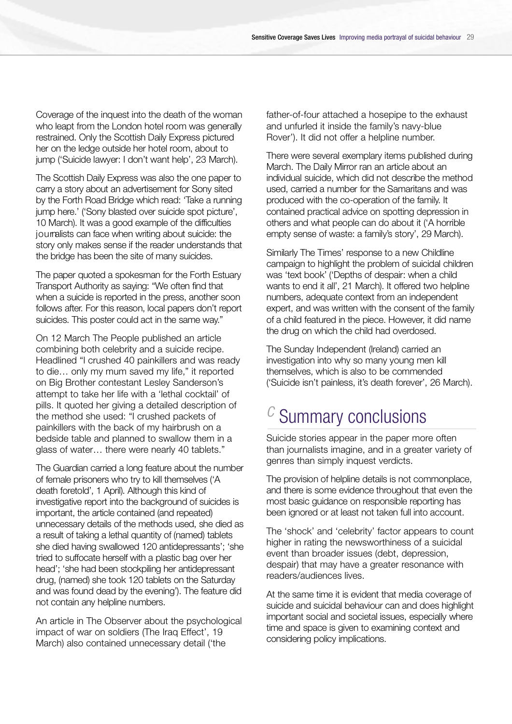Coverage of the inquest into the death of the woman who leapt from the London hotel room was generally restrained. Only the Scottish Daily Express pictured her on the ledge outside her hotel room, about to jump ('Suicide lawyer: I don't want help', 23 March).

The Scottish Daily Express was also the one paper to carry a story about an advertisement for Sony sited by the Forth Road Bridge which read: 'Take a running jump here.' ('Sony blasted over suicide spot picture', 10 March). It was a good example of the difficulties journalists can face when writing about suicide: the story only makes sense if the reader understands that the bridge has been the site of many suicides.

The paper quoted a spokesman for the Forth Estuary Transport Authority as saying: "We often find that when a suicide is reported in the press, another soon follows after. For this reason, local papers don't report suicides. This poster could act in the same way."

On 12 March The People published an article combining both celebrity and a suicide recipe. Headlined "I crushed 40 painkillers and was ready to die… only my mum saved my life," it reported on Big Brother contestant Lesley Sanderson's attempt to take her life with a 'lethal cocktail' of pills. It quoted her giving a detailed description of the method she used: "I crushed packets of painkillers with the back of my hairbrush on a bedside table and planned to swallow them in a glass of water… there were nearly 40 tablets."

The Guardian carried a long feature about the number of female prisoners who try to kill themselves ('A death foretold', 1 April). Although this kind of investigative report into the background of suicides is important, the article contained (and repeated) unnecessary details of the methods used, she died as a result of taking a lethal quantity of (named) tablets she died having swallowed 120 antidepressants'; 'she tried to suffocate herself with a plastic bag over her head'; 'she had been stockpiling her antidepressant drug, (named) she took 120 tablets on the Saturday and was found dead by the evening'). The feature did not contain any helpline numbers.

An article in The Observer about the psychological impact of war on soldiers (The Iraq Effect', 19 March) also contained unnecessary detail ('the

father-of-four attached a hosepipe to the exhaust and unfurled it inside the family's navy-blue Rover'). It did not offer a helpline number.

There were several exemplary items published during March. The Daily Mirror ran an article about an individual suicide, which did not describe the method used, carried a number for the Samaritans and was produced with the co-operation of the family. It contained practical advice on spotting depression in others and what people can do about it ('A horrible empty sense of waste: a family's story', 29 March).

Similarly The Times' response to a new Childline campaign to highlight the problem of suicidal children was 'text book' ('Depths of despair: when a child wants to end it all', 21 March). It offered two helpline numbers, adequate context from an independent expert, and was written with the consent of the family of a child featured in the piece. However, it did name the drug on which the child had overdosed.

The Sunday Independent (Ireland) carried an investigation into why so many young men kill themselves, which is also to be commended ('Suicide isn't painless, it's death forever', 26 March).

### *c* Summary conclusions

Suicide stories appear in the paper more often than journalists imagine, and in a greater variety of genres than simply inquest verdicts.

The provision of helpline details is not commonplace, and there is some evidence throughout that even the most basic guidance on responsible reporting has been ignored or at least not taken full into account.

The 'shock' and 'celebrity' factor appears to count higher in rating the newsworthiness of a suicidal event than broader issues (debt, depression, despair) that may have a greater resonance with readers/audiences lives.

At the same time it is evident that media coverage of suicide and suicidal behaviour can and does highlight important social and societal issues, especially where time and space is given to examining context and considering policy implications.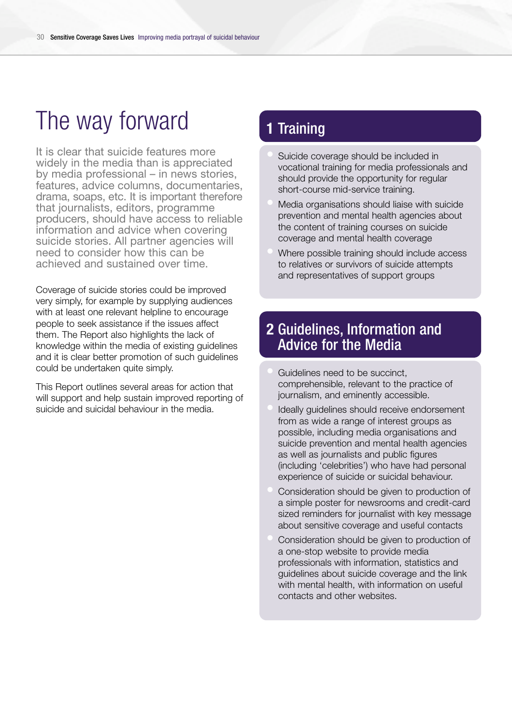# The way forward

It is clear that suicide features more widely in the media than is appreciated by media professional – in news stories, features, advice columns, documentaries, drama, soaps, etc. It is important therefore that journalists, editors, programme producers, should have access to reliable information and advice when covering suicide stories. All partner agencies will need to consider how this can be achieved and sustained over time.

Coverage of suicide stories could be improved very simply, for example by supplying audiences with at least one relevant helpline to encourage people to seek assistance if the issues affect them. The Report also highlights the lack of knowledge within the media of existing guidelines and it is clear better promotion of such guidelines could be undertaken quite simply.

This Report outlines several areas for action that will support and help sustain improved reporting of suicide and suicidal behaviour in the media.

### **1** Training

- Suicide coverage should be included in vocational training for media professionals and should provide the opportunity for regular short-course mid-service training.
- Media organisations should liaise with suicide prevention and mental health agencies about the content of training courses on suicide coverage and mental health coverage
- Where possible training should include access to relatives or survivors of suicide attempts and representatives of support groups

#### **2** Guidelines, Information and Advice for the Media

- Guidelines need to be succinct. comprehensible, relevant to the practice of journalism, and eminently accessible.
- Ideally guidelines should receive endorsement from as wide a range of interest groups as possible, including media organisations and suicide prevention and mental health agencies as well as journalists and public figures (including 'celebrities') who have had personal experience of suicide or suicidal behaviour.
- Consideration should be given to production of a simple poster for newsrooms and credit-card sized reminders for journalist with key message about sensitive coverage and useful contacts
- Consideration should be given to production of a one-stop website to provide media professionals with information, statistics and guidelines about suicide coverage and the link with mental health, with information on useful contacts and other websites.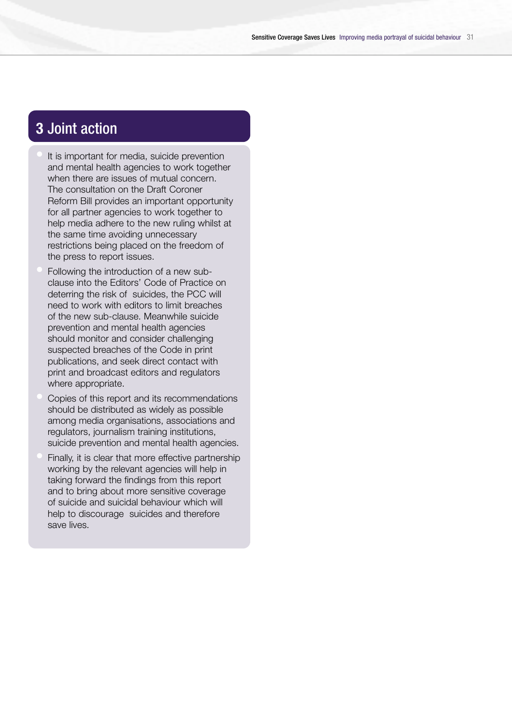#### **3** Joint action

- It is important for media, suicide prevention and mental health agencies to work together when there are issues of mutual concern. The consultation on the Draft Coroner Reform Bill provides an important opportunity for all partner agencies to work together to help media adhere to the new ruling whilst at the same time avoiding unnecessary restrictions being placed on the freedom of the press to report issues.
- Following the introduction of a new subclause into the Editors' Code of Practice on deterring the risk of suicides, the PCC will need to work with editors to limit breaches of the new sub-clause. Meanwhile suicide prevention and mental health agencies should monitor and consider challenging suspected breaches of the Code in print publications, and seek direct contact with print and broadcast editors and regulators where appropriate.
- Copies of this report and its recommendations should be distributed as widely as possible among media organisations, associations and regulators, journalism training institutions, suicide prevention and mental health agencies.
- Finally, it is clear that more effective partnership working by the relevant agencies will help in taking forward the findings from this report and to bring about more sensitive coverage of suicide and suicidal behaviour which will help to discourage suicides and therefore save lives.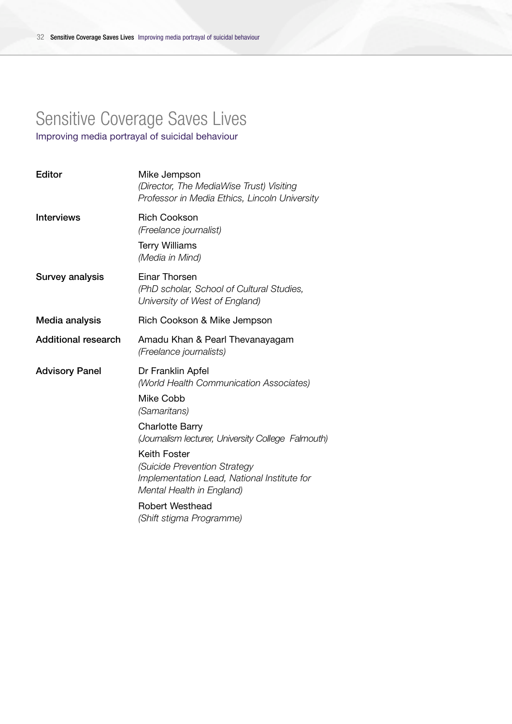# Sensitive Coverage Saves Lives

Improving media portrayal of suicidal behaviour

| Editor                     | Mike Jempson<br>(Director, The MediaWise Trust) Visiting<br>Professor in Media Ethics, Lincoln University                |
|----------------------------|--------------------------------------------------------------------------------------------------------------------------|
| <b>Interviews</b>          | <b>Rich Cookson</b><br>(Freelance journalist)<br><b>Terry Williams</b><br>(Media in Mind)                                |
| <b>Survey analysis</b>     | Einar Thorsen<br>(PhD scholar, School of Cultural Studies,<br>University of West of England)                             |
| Media analysis             | Rich Cookson & Mike Jempson                                                                                              |
| <b>Additional research</b> | Amadu Khan & Pearl Thevanayagam<br>(Freelance journalists)                                                               |
| <b>Advisory Panel</b>      | Dr Franklin Apfel<br>(World Health Communication Associates)<br>Mike Cobb<br>(Samaritans)                                |
|                            | <b>Charlotte Barry</b><br>(Journalism lecturer, University College Falmouth)                                             |
|                            | Keith Foster<br>(Suicide Prevention Strategy<br>Implementation Lead, National Institute for<br>Mental Health in England) |
|                            | <b>Robert Westhead</b><br>(Shift stigma Programme)                                                                       |